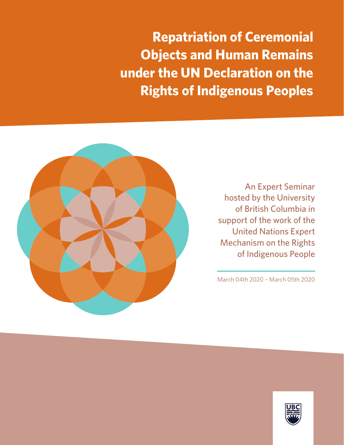**Repatriation of Ceremonial Objects and Human Remains under the UN Declaration on the Rights of Indigenous Peoples**



An Expert Seminar hosted by the University of British Columbia in support of the work of the United Nations Expert Mechanism on the Rights of Indigenous People

March 04th 2020 – March 05th 2020

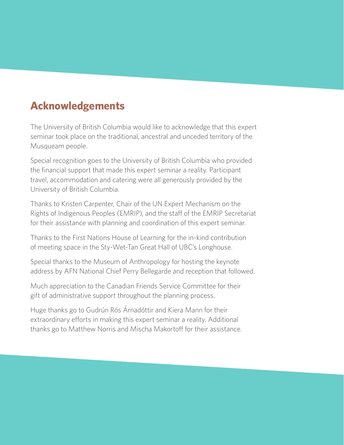# **Acknowledgements**

The University of British Columbia would like to acknowledge that this expert seminar took place on the traditional, ancestral and unceded territory of the Musqueam people.

Special recognition goes to the University of British Columbia who provided the financial support that made this expert seminar a reality. Participant travel, accommodation and catering were all generously provided by the University of British Columbia.

Thanks to Kristen Carpenter, Chair of the UN Expert Mechanism on the Rights of Indigenous Peoples (EMRIP), and the staff of the EMRIP Secretariat for their assistance with planning and coordination of this expert seminar.

Thanks to the First Nations House of Learning for the in-kind contribution of meeting space in the Sty-Wet-Tan Great Hall of UBC's Longhouse.

Special thanks to the Museum of Anthropology for hosting the keynote address by AFN National Chief Perry Bellegarde and reception that followed.

Much appreciation to the Canadian Friends Service Committee for their gift of administrative support throughout the planning process.

Huge thanks go to Gudrún Rós Árnadóttir and Kiera Mann for their extraordinary efforts in making this expert seminar a reality. Additional thanks go to Matthew Norris and Mischa Makortoff for their assistance.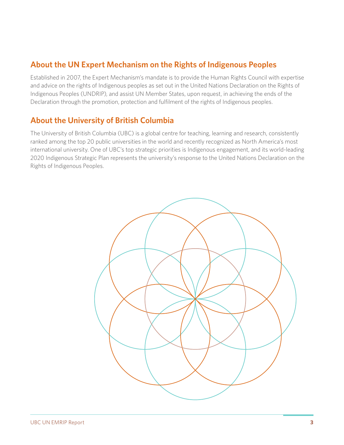# **About the UN Expert Mechanism on the Rights of Indigenous Peoples**

Established in 2007, the Expert Mechanism's mandate is to provide the Human Rights Council with expertise and advice on the rights of Indigenous peoples as set out in the United Nations Declaration on the Rights of Indigenous Peoples (UNDRIP), and assist UN Member States, upon request, in achieving the ends of the Declaration through the promotion, protection and fulfilment of the rights of Indigenous peoples.

# **About the University of British Columbia**

The University of British Columbia (UBC) is a global centre for teaching, learning and research, consistently ranked among the top 20 public universities in the world and recently recognized as North America's most international university. One of UBC's top strategic priorities is Indigenous engagement, and its world-leading 2020 Indigenous Strategic Plan represents the university's response to the United Nations Declaration on the Rights of Indigenous Peoples.

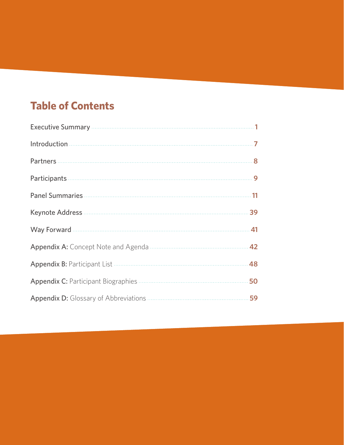# **Table of Contents**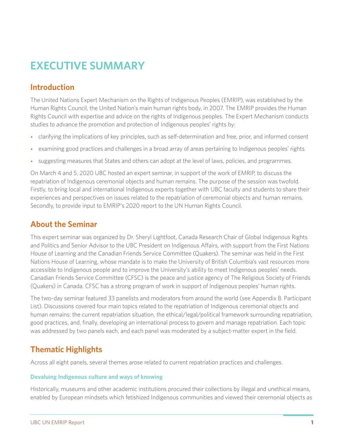# **EXECUTIVE SUMMARY**

# **Introduction**

The United Nations Expert Mechanism on the Rights of Indigenous Peoples (EMRIP), was established by the Human Rights Council, the United Nation's main human rights body, in 2007. The EMRIP provides the Human Rights Council with expertise and advice on the rights of Indigenous peoples. The Expert Mechanism conducts studies to advance the promotion and protection of Indigenous peoples' rights by:

- clarifying the implications of key principles, such as self-determination and free, prior, and informed consent
- examining good practices and challenges in a broad array of areas pertaining to Indigenous peoples' rights
- suggesting measures that States and others can adopt at the level of laws, policies, and programmes.

On March 4 and 5, 2020 UBC hosted an expert seminar, in support of the work of EMRIP, to discuss the repatriation of Indigenous ceremonial objects and human remains. The purpose of the session was twofold. Firstly, to bring local and international Indigenous experts together with UBC faculty and students to share their experiences and perspectives on issues related to the repatriation of ceremonial objects and human remains. Secondly, to provide input to EMRIP's 2020 report to the UN Human Rights Council.

# **About the Seminar**

This expert seminar was organized by Dr. Sheryl Lightfoot, Canada Research Chair of Global Indigenous Rights and Politics and Senior Advisor to the UBC President on Indigenous Affairs, with support from the First Nations House of Learning and the Canadian Friends Service Committee (Quakers). The seminar was held in the First Nations House of Learning, whose mandate is to make the University of British Columbia's vast resources more accessible to Indigenous people and to improve the University's ability to meet Indigenous peoples' needs. Canadian Friends Service Committee (CFSC) is the peace and justice agency of The Religious Society of Friends (Quakers) in Canada. CFSC has a strong program of work in support of Indigenous peoples' human rights.

The two-day seminar featured 33 panelists and moderators from around the world (see Appendix B. Participant List). Discussions covered four main topics related to the repatriation of Indigenous ceremonial objects and human remains: the current repatriation situation, the ethical/legal/political framework surrounding repatriation, good practices, and, finally, developing an international process to govern and manage repatriation. Each topic was addressed by two panels each, and each panel was moderated by a subject-matter expert in the field.

# **Thematic Highlights**

Across all eight panels, several themes arose related to current repatriation practices and challenges.

### **Devaluing Indigenous culture and ways of knowing**

Historically, museums and other academic institutions procured their collections by illegal and unethical means, enabled by European mindsets which fetishized Indigenous communities and viewed their ceremonial objects as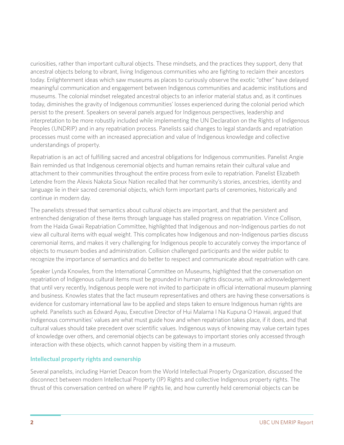curiosities, rather than important cultural objects. These mindsets, and the practices they support, deny that ancestral objects belong to vibrant, living Indigenous communities who are fighting to reclaim their ancestors today. Enlightenment ideas which saw museums as places to curiously observe the exotic "other" have delayed meaningful communication and engagement between Indigenous communities and academic institutions and museums. The colonial mindset relegated ancestral objects to an inferior material status and, as it continues today, diminishes the gravity of Indigenous communities' losses experienced during the colonial period which persist to the present. Speakers on several panels argued for Indigenous perspectives, leadership and interpretation to be more robustly included while implementing the UN Declaration on the Rights of Indigenous Peoples (UNDRIP) and in any repatriation process. Panelists said changes to legal standards and repatriation processes must come with an increased appreciation and value of Indigenous knowledge and collective understandings of property.

Repatriation is an act of fulfilling sacred and ancestral obligations for Indigenous communities. Panelist Angie Bain reminded us that Indigenous ceremonial objects and human remains retain their cultural value and attachment to their communities throughout the entire process from exile to repatriation. Panelist Elizabeth Letendre from the Alexis Nakota Sioux Nation recalled that her community's stories, ancestries, identity and language lie in their sacred ceremonial objects, which form important parts of ceremonies, historically and continue in modern day.

The panelists stressed that semantics about cultural objects are important, and that the persistent and entrenched denigration of these items through language has stalled progress on repatriation. Vince Collison, from the Haida Gwaii Repatriation Committee, highlighted that Indigenous and non-Indigenous parties do not view all cultural items with equal weight. This complicates how Indigenous and non-Indigenous parties discuss ceremonial items, and makes it very challenging for Indigenous people to accurately convey the importance of objects to museum bodies and administration. Collision challenged participants and the wider public to recognize the importance of semantics and do better to respect and communicate about repatriation with care.

Speaker Lynda Knowles, from the International Committee on Museums, highlighted that the conversation on repatriation of Indigenous cultural items must be grounded in human rights discourse, with an acknowledgement that until very recently, Indigenous people were not invited to participate in official international museum planning and business. Knowles states that the fact museum representatives and others are having these conversations is evidence for customary international law to be applied and steps taken to ensure Indigenous human rights are upheld. Panelists such as Edward Ayau, Executive Director of Hui Malama I Na Kupuna O Hawaii, argued that Indigenous communities' values are what must guide how and when repatriation takes place, if it does, and that cultural values should take precedent over scientific values. Indigenous ways of knowing may value certain types of knowledge over others, and ceremonial objects can be gateways to important stories only accessed through interaction with these objects, which cannot happen by visiting them in a museum.

### **Intellectual property rights and ownership**

Several panelists, including Harriet Deacon from the World Intellectual Property Organization, discussed the disconnect between modern Intellectual Property (IP) Rights and collective Indigenous property rights. The thrust of this conversation centred on where IP rights lie, and how currently held ceremonial objects can be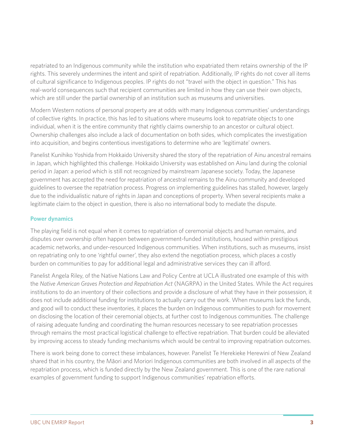repatriated to an Indigenous community while the institution who expatriated them retains ownership of the IP rights. This severely undermines the intent and spirit of repatriation. Additionally, IP rights do not cover all items of cultural significance to Indigenous peoples. IP rights do not "travel with the object in question." This has real-world consequences such that recipient communities are limited in how they can use their own objects, which are still under the partial ownership of an institution such as museums and universities.

Modern Western notions of personal property are at odds with many Indigenous communities' understandings of collective rights. In practice, this has led to situations where museums look to repatriate objects to one individual, when it is the entire community that rightly claims ownership to an ancestor or cultural object. Ownership challenges also include a lack of documentation on both sides, which complicates the investigation into acquisition, and begins contentious investigations to determine who are 'legitimate' owners.

Panelist Kunihiko Yoshida from Hokkaido University shared the story of the repatriation of Ainu ancestral remains in Japan, which highlighted this challenge. Hokkaido University was established on Ainu land during the colonial period in Japan: a period which is still not recognized by mainstream Japanese society. Today, the Japanese government has accepted the need for repatriation of ancestral remains to the Ainu community and developed guidelines to oversee the repatriation process. Progress on implementing guidelines has stalled, however, largely due to the individualistic nature of rights in Japan and conceptions of property. When several recipients make a legitimate claim to the object in question, there is also no international body to mediate the dispute.

### **Power dynamics**

The playing field is not equal when it comes to repatriation of ceremonial objects and human remains, and disputes over ownership often happen between government-funded institutions, housed within prestigious academic networks, and under-resourced Indigenous communities. When institutions, such as museums, insist on repatriating only to one 'rightful owner', they also extend the negotiation process, which places a costly burden on communities to pay for additional legal and administrative services they can ill afford.

Panelist Angela Riley, of the Native Nations Law and Policy Centre at UCLA illustrated one example of this with the *Native American Graves Protection and Repatriation Act* (NAGRPA) in the United States. While the Act requires institutions to do an inventory of their collections and provide a disclosure of what they have in their possession, it does not include additional funding for institutions to actually carry out the work. When museums lack the funds, and good will to conduct these inventories, it places the burden on Indigenous communities to push for movement on disclosing the location of their ceremonial objects, at further cost to Indigenous communities. The challenge of raising adequate funding and coordinating the human resources necessary to see repatriation processes through remains the most practical logistical challenge to effective repatriation. That burden could be alleviated by improving access to steady funding mechanisms which would be central to improving repatriation outcomes.

There is work being done to correct these imbalances, however. Panelist Te Herekieke Herewini of New Zealand shared that in his country, the Māori and Moriori Indigenous communities are both involved in all aspects of the repatriation process, which is funded directly by the New Zealand government. This is one of the rare national examples of government funding to support Indigenous communities' repatriation efforts.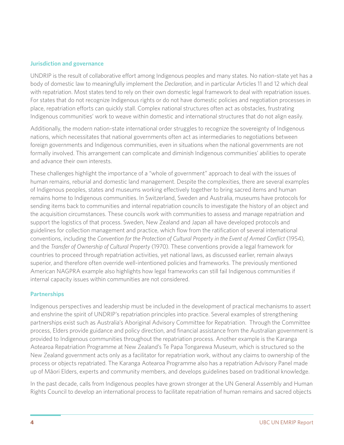#### **Jurisdiction and governance**

UNDRIP is the result of collaborative effort among Indigenous peoples and many states. No nation-state yet has a body of domestic law to meaningfully implement the *Declaration*, and in particular Articles 11 and 12 which deal with repatriation. Most states tend to rely on their own domestic legal framework to deal with repatriation issues. For states that do not recognize Indigenous rights or do not have domestic policies and negotiation processes in place, repatriation efforts can quickly stall. Complex national structures often act as obstacles, frustrating Indigenous communities' work to weave within domestic and international structures that do not align easily.

Additionally, the modern nation-state international order struggles to recognize the sovereignty of Indigenous nations, which necessitates that national governments often act as intermediaries to negotiations between foreign governments and Indigenous communities, even in situations when the national governments are not formally involved. This arrangement can complicate and diminish Indigenous communities' abilities to operate and advance their own interests.

These challenges highlight the importance of a "whole of government" approach to deal with the issues of human remains, reburial and domestic land management. Despite the complexities, there are several examples of Indigenous peoples, states and museums working effectively together to bring sacred items and human remains home to Indigenous communities. In Switzerland, Sweden and Australia, museums have protocols for sending items back to communities and internal repatriation councils to investigate the history of an object and the acquisition circumstances. These councils work with communities to assess and manage repatriation and support the logistics of that process. Sweden, New Zealand and Japan all have developed protocols and guidelines for collection management and practice, which flow from the ratification of several international conventions, including the *Convention for the Protection of Cultural Property in the Event of Armed Conflict* (1954), and the *Transfer of Ownership of Cultural Property* (1970). These conventions provide a legal framework for countries to proceed through repatriation activities, yet national laws, as discussed earlier, remain always superior, and therefore often override well-intentioned policies and frameworks. The previously mentioned American NAGPRA example also highlights how legal frameworks can still fail Indigenous communities if internal capacity issues within communities are not considered.

### **Partnerships**

Indigenous perspectives and leadership must be included in the development of practical mechanisms to assert and enshrine the spirit of UNDRIP's repatriation principles into practice. Several examples of strengthening partnerships exist such as Australia's Aboriginal Advisory Committee for Repatriation. Through the Committee process, Elders provide guidance and policy direction, and financial assistance from the Australian government is provided to Indigenous communities throughout the repatriation process. Another example is the Karanga Aotearoa Repatriation Programme at New Zealand's Te Papa Tongarewa Museum, which is structured so the New Zealand government acts only as a facilitator for repatriation work, without any claims to ownership of the process or objects repatriated. The Karanga Aotearoa Programme also has a repatriation Advisory Panel made up of Māori Elders, experts and community members, and develops guidelines based on traditional knowledge.

In the past decade, calls from Indigenous peoples have grown stronger at the UN General Assembly and Human Rights Council to develop an international process to facilitate repatriation of human remains and sacred objects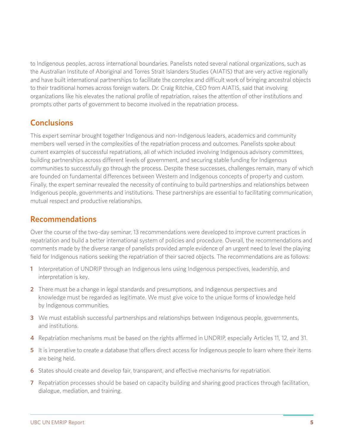to Indigenous peoples, across international boundaries. Panelists noted several national organizations, such as the Australian Institute of Aboriginal and Torres Strait Islanders Studies (AIATIS) that are very active regionally and have built international partnerships to facilitate the complex and difficult work of bringing ancestral objects to their traditional homes across foreign waters. Dr. Craig Ritchie, CEO from AIATIS, said that involving organizations like his elevates the national profile of repatriation, raises the attention of other institutions and prompts other parts of government to become involved in the repatriation process.

# **Conclusions**

This expert seminar brought together Indigenous and non-Indigenous leaders, academics and community members well versed in the complexities of the repatriation process and outcomes. Panelists spoke about current examples of successful repatriations, all of which included involving Indigenous advisory committees, building partnerships across different levels of government, and securing stable funding for Indigenous communities to successfully go through the process. Despite these successes, challenges remain, many of which are founded on fundamental differences between Western and Indigenous concepts of property and custom. Finally, the expert seminar revealed the necessity of continuing to build partnerships and relationships between Indigenous people, governments and institutions. These partnerships are essential to facilitating communication, mutual respect and productive relationships.

## **Recommendations**

Over the course of the two-day seminar, 13 recommendations were developed to improve current practices in repatriation and build a better international system of policies and procedure. Overall, the recommendations and comments made by the diverse range of panelists provided ample evidence of an urgent need to level the playing field for Indigenous nations seeking the repatriation of their sacred objects. The recommendations are as follows:

- **1** Interpretation of UNDRIP through an Indigenous lens using Indigenous perspectives, leadership, and interpretation is key.
- **2** There must be a change in legal standards and presumptions, and Indigenous perspectives and knowledge must be regarded as legitimate. We must give voice to the unique forms of knowledge held by Indigenous communities.
- **3** We must establish successful partnerships and relationships between Indigenous people, governments, and institutions.
- **4** Repatriation mechanisms must be based on the rights affirmed in UNDRIP, especially Articles 11, 12, and 31.
- **5** It is imperative to create a database that offers direct access for Indigenous people to learn where their items are being held.
- **6** States should create and develop fair, transparent, and effective mechanisms for repatriation.
- **7** Repatriation processes should be based on capacity building and sharing good practices through facilitation, dialogue, mediation, and training.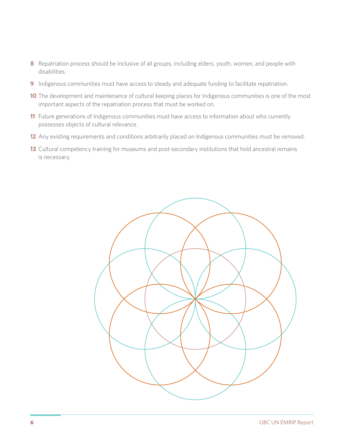- Repatriation process should be inclusive of all groups, including elders, youth, women, and people with disabilities.
- Indigenous communities must have access to steady and adequate funding to facilitate repatriation.
- The development and maintenance of cultural keeping places for Indigenous communities is one of the most important aspects of the repatriation process that must be worked on.
- Future generations of Indigenous communities must have access to information about who currently possesses objects of cultural relevance.
- Any existing requirements and conditions arbitrarily placed on Indigenous communities must be removed.
- Cultural competency training for museums and post-secondary institutions that hold ancestral remains is necessary.

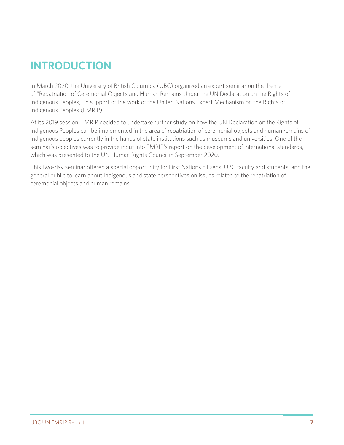# **INTRODUCTION**

In March 2020, the University of British Columbia (UBC) organized an expert seminar on the theme of "Repatriation of Ceremonial Objects and Human Remains Under the UN Declaration on the Rights of Indigenous Peoples," in support of the work of the United Nations Expert Mechanism on the Rights of Indigenous Peoples (EMRIP).

At its 2019 session, EMRIP decided to undertake further study on how the UN Declaration on the Rights of Indigenous Peoples can be implemented in the area of repatriation of ceremonial objects and human remains of Indigenous peoples currently in the hands of state institutions such as museums and universities. One of the seminar's objectives was to provide input into EMRIP's report on the development of international standards, which was presented to the UN Human Rights Council in September 2020.

This two-day seminar offered a special opportunity for First Nations citizens, UBC faculty and students, and the general public to learn about Indigenous and state perspectives on issues related to the repatriation of ceremonial objects and human remains.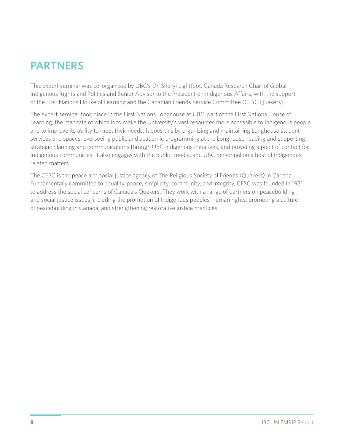# **PARTNERS**

This expert seminar was co-organized by UBC's Dr. Sheryl Lightfoot, Canada Research Chair of Global Indigenous Rights and Politics and Senior Advisor to the President on Indigenous Affairs, with the support of the First Nations House of Learning and the Canadian Friends Service Committee (CFSC Quakers).

The expert seminar took place in the First Nations Longhouse at UBC, part of the First Nations House of Learning, the mandate of which is to make the University's vast resources more accessible to Indigenous people and to improve its ability to meet their needs. It does this by organizing and maintaining Longhouse student services and spaces, overseeing public and academic programming at the Longhouse, leading and supporting strategic planning and communications through UBC Indigenous initiatives, and providing a point of contact for Indigenous communities. It also engages with the public, media, and UBC personnel on a host of Indigenousrelated matters.

The CFSC is the peace and social justice agency of The Religious Society of Friends (Quakers) in Canada. Fundamentally committed to equality, peace, simplicity, community, and integrity, CFSC was founded in 1931 to address the social concerns of Canada's Quakers. They work with a range of partners on peacebuilding and social justice issues, including the promotion of Indigenous peoples' human rights, promoting a culture of peacebuilding in Canada, and strengthening restorative justice practices.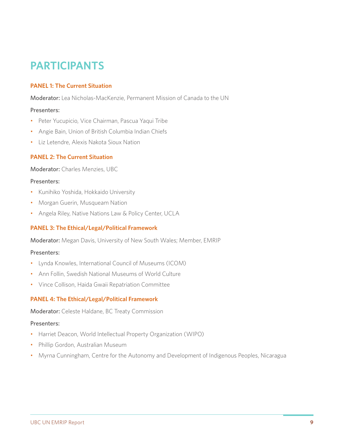# **PARTICIPANTS**

### **PANEL 1: The Current Situation**

Moderator: Lea Nicholas-MacKenzie, Permanent Mission of Canada to the UN

### Presenters:

- Peter Yucupicio, Vice Chairman, Pascua Yaqui Tribe
- Angie Bain, Union of British Columbia Indian Chiefs
- Liz Letendre, Alexis Nakota Sioux Nation

### **PANEL 2: The Current Situation**

Moderator: Charles Menzies, UBC

#### Presenters:

- Kunihiko Yoshida, Hokkaido University
- Morgan Guerin, Musqueam Nation
- Angela Riley, Native Nations Law & Policy Center, UCLA

### **PANEL 3: The Ethical/Legal/Political Framework**

Moderator: Megan Davis, University of New South Wales; Member, EMRIP

#### Presenters:

- Lynda Knowles, International Council of Museums (ICOM)
- Ann Follin, Swedish National Museums of World Culture
- Vince Collison, Haida Gwaii Repatriation Committee

### **PANEL 4: The Ethical/Legal/Political Framework**

Moderator: Celeste Haldane, BC Treaty Commission

#### Presenters:

- Harriet Deacon, World Intellectual Property Organization (WIPO)
- Phillip Gordon, Australian Museum
- Myrna Cunningham, Centre for the Autonomy and Development of Indigenous Peoples, Nicaragua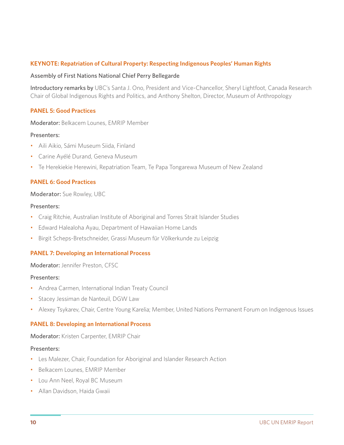### **KEYNOTE: Repatriation of Cultural Property: Respecting Indigenous Peoples' Human Rights**

#### Assembly of First Nations National Chief Perry Bellegarde

Introductory remarks by UBC's Santa J. Ono, President and Vice-Chancellor, Sheryl Lightfoot, Canada Research Chair of Global Indigenous Rights and Politics, and Anthony Shelton, Director, Museum of Anthropology

### **PANEL 5: Good Practices**

Moderator: Belkacem Lounes, EMRIP Member

#### Presenters:

- Aili Aikio, Sámi Museum Siida, Finland
- Carine Ayélé Durand, Geneva Museum
- Te Herekiekie Herewini, Repatriation Team, Te Papa Tongarewa Museum of New Zealand

### **PANEL 6: Good Practices**

#### Moderator: Sue Rowley, UBC

#### Presenters:

- Craig Ritchie, Australian Institute of Aboriginal and Torres Strait Islander Studies
- Edward Halealoha Ayau, Department of Hawaiian Home Lands
- Birgit Scheps-Bretschneider, Grassi Museum für Völkerkunde zu Leipzig

#### **PANEL 7: Developing an International Process**

#### Moderator: Jennifer Preston, CFSC

#### Presenters:

- Andrea Carmen, International Indian Treaty Council
- Stacey Jessiman de Nanteuil, DGW Law
- Alexey Tsykarev, Chair, Centre Young Karelia; Member, United Nations Permanent Forum on Indigenous Issues

#### **PANEL 8: Developing an International Process**

Moderator: Kristen Carpenter, EMRIP Chair

#### Presenters:

- Les Malezer, Chair, Foundation for Aboriginal and Islander Research Action
- Belkacem Lounes, EMRIP Member
- Lou Ann Neel, Royal BC Museum
- Allan Davidson, Haida Gwaii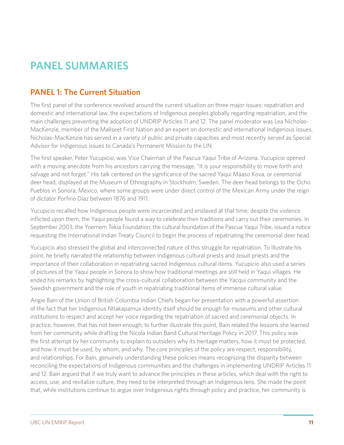# **PANEL SUMMARIES**

# **PANEL 1: The Current Situation**

The first panel of the conference revolved around the current situation on three major issues: repatriation and domestic and international law, the expectations of Indigenous peoples globally regarding repatriation, and the main challenges preventing the adoption of UNDRIP Articles 11 and 12. The panel moderator was Lea Nicholas-MacKenzie, member of the Maliseet First Nation and an expert on domestic and international Indigenous issues. Nicholas-MacKenzie has served in a variety of public and private capacities and most recently served as Special Advisor for Indigenous issues to Canada's Permanent Mission to the UN.

The first speaker, Peter Yucupicio, was Vice Chairman of the Pascua Yaqui Tribe of Arizona. Yucupicio opened with a moving anecdote from his ancestors carrying the message, "It is your responsibility to move forth and salvage and not forget." His talk centered on the significance of the sacred Yaqui Maaso Kova, or ceremonial deer head, displayed at the Museum of Ethnography in Stockholm, Sweden. The deer head belongs to the Ocho Pueblos in Sonora, Mexico, where some groups were under direct control of the Mexican Army under the reign of dictator Porfirio Diaz between 1876 and 1911.

Yucupicio recalled how Indigenous people were incarcerated and enslaved at that time; despite the violence inflicted upon them, the Yaqui people found a way to celebrate their traditions and carry out their ceremonies. In September 2003, the Yoemem Tekia Foundation, the cultural foundation of the Pascua Yaqui Tribe, issued a notice requesting the International Indian Treaty Council to begin the process of repatriating the ceremonial deer head.

Yucupicio also stressed the global and interconnected nature of this struggle for repatriation. To illustrate his point, he briefly narrated the relationship between Indigenous cultural priests and Jesuit priests and the importance of their collaboration in repatriating sacred Indigenous cultural items. Yucupicio also used a series of pictures of the Yaqui people in Sonora to show how traditional meetings are still held in Yaqui villages. He ended his remarks by highlighting the cross-cultural collaboration between the Yacqui community and the Swedish government and the role of youth in repatriating traditional items of immense cultural value.

Angie Bain of the Union of British Columbia Indian Chiefs began her presentation with a powerful assertion of the fact that her Indigenous Ntlakapamux identity itself should be enough for museums and other cultural institutions to respect and accept her voice regarding the repatriation of sacred and ceremonial objects. In practice, however, that has not been enough; to further illustrate this point, Bain related the lessons she learned from her community while drafting the Nicola Indian Band Cultural Heritage Policy in 2017. This policy was the first attempt by her community to explain to outsiders why its heritage matters, how it must be protected, and how it must be used, by whom, and why. The core principles of the policy are respect, responsibility, and relationships. For Bain, genuinely understanding these policies means recognizing the disparity between reconciling the expectations of Indigenous communities and the challenges in implementing UNDRIP Articles 11 and 12. Bain argued that if we truly want to advance the principles in these articles, which deal with the right to access, use, and revitalize culture, they need to be interpreted through an Indigenous lens. She made the point that, while institutions continue to argue over Indigenous rights through policy and practice, her community is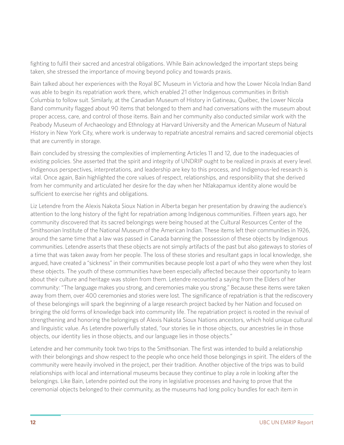fighting to fulfil their sacred and ancestral obligations. While Bain acknowledged the important steps being taken, she stressed the importance of moving beyond policy and towards praxis.

Bain talked about her experiences with the Royal BC Museum in Victoria and how the Lower Nicola Indian Band was able to begin its repatriation work there, which enabled 21 other Indigenous communities in British Columbia to follow suit. Similarly, at the Canadian Museum of History in Gatineau, Québec, the Lower Nicola Band community flagged about 90 items that belonged to them and had conversations with the museum about proper access, care, and control of those items. Bain and her community also conducted similar work with the Peabody Museum of Archaeology and Ethnology at Harvard University and the American Museum of Natural History in New York City, where work is underway to repatriate ancestral remains and sacred ceremonial objects that are currently in storage.

Bain concluded by stressing the complexities of implementing Articles 11 and 12, due to the inadequacies of existing policies. She asserted that the spirit and integrity of UNDRIP ought to be realized in praxis at every level. Indigenous perspectives, interpretations, and leadership are key to this process, and Indigenous-led research is vital. Once again, Bain highlighted the core values of respect, relationships, and responsibility that she derived from her community and articulated her desire for the day when her Ntlakapamux identity alone would be sufficient to exercise her rights and obligations.

Liz Letendre from the Alexis Nakota Sioux Nation in Alberta began her presentation by drawing the audience's attention to the long history of the fight for repatriation among Indigenous communities. Fifteen years ago, her community discovered that its sacred belongings were being housed at the Cultural Resources Center of the Smithsonian Institute of the National Museum of the American Indian. These items left their communities in 1926, around the same time that a law was passed in Canada banning the possession of these objects by Indigenous communities. Letendre asserts that these objects are not simply artifacts of the past but also gateways to stories of a time that was taken away from her people. The loss of these stories and resultant gaps in local knowledge, she argued, have created a "sickness" in their communities because people lost a part of who they were when they lost these objects. The youth of these communities have been especially affected because their opportunity to learn about their culture and heritage was stolen from them. Letendre recounted a saying from the Elders of her community: "The language makes you strong, and ceremonies make you strong." Because these items were taken away from them, over 400 ceremonies and stories were lost. The significance of repatriation is that the rediscovery of these belongings will spark the beginning of a large research project backed by her Nation and focused on bringing the old forms of knowledge back into community life. The repatriation project is rooted in the revival of strengthening and honoring the belongings of Alexis Nakota Sioux Nations ancestors, which hold unique cultural and linguistic value. As Letendre powerfully stated, "our stories lie in those objects, our ancestries lie in those objects, our identity lies in those objects, and our language lies in those objects."

Letendre and her community took two trips to the Smithsonian. The first was intended to build a relationship with their belongings and show respect to the people who once held those belongings in spirit. The elders of the community were heavily involved in the project, per their tradition. Another objective of the trips was to build relationships with local and international museums because they continue to play a role in looking after the belongings. Like Bain, Letendre pointed out the irony in legislative processes and having to prove that the ceremonial objects belonged to their community, as the museums had long policy bundles for each item in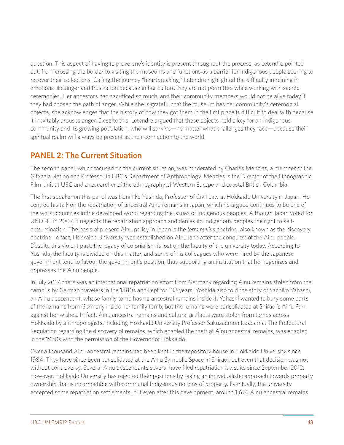question. This aspect of having to prove one's identity is present throughout the process, as Letendre pointed out, from crossing the border to visiting the museums and functions as a barrier for Indigenous people seeking to recover their collections. Calling the journey "heartbreaking," Letendre highlighted the difficulty in reining in emotions like anger and frustration because in her culture they are not permitted while working with sacred ceremonies. Her ancestors had sacrificed so much, and their community members would not be alive today if they had chosen the path of anger. While she is grateful that the museum has her community's ceremonial objects, she acknowledges that the history of how they got them in the first place is difficult to deal with because it inevitably arouses anger. Despite this, Letendre argued that these objects hold a key for an Indigenous community and its growing population, who will survive—no matter what challenges they face—because their spiritual realm will always be present as their connection to the world.

# **PANEL 2: The Current Situation**

The second panel, which focused on the current situation, was moderated by Charles Menzies, a member of the Gitxaala Nation and Professor in UBC's Department of Anthropology. Menzies is the Director of the Ethnographic Film Unit at UBC and a researcher of the ethnography of Western Europe and coastal British Columbia.

The first speaker on this panel was Kunihiko Yoshida, Professor of Civil Law at Hokkaido University in Japan. He centred his talk on the repatriation of ancestral Ainu remains in Japan, which he argued continues to be one of the worst countries in the developed world regarding the issues of Indigenous peoples. Although Japan voted for UNDRIP in 2007, it neglects the repatriation approach and denies its Indigenous peoples the right to selfdetermination. The basis of present Ainu policy in Japan is the *terra nullius* doctrine, also known as the discovery doctrine. In fact, Hokkaido University was established on Ainu land after the conquest of the Ainu people. Despite this violent past, the legacy of colonialism is lost on the faculty of the university today. According to Yoshida, the faculty is divided on this matter, and some of his colleagues who were hired by the Japanese government tend to favour the government's position, thus supporting an institution that homogenizes and oppresses the Ainu people.

In July 2017, there was an international repatriation effort from Germany regarding Ainu remains stolen from the campus by German travelers in the 1880s and kept for 138 years. Yoshida also told the story of Sachiko Yahashi, an Ainu descendant, whose family tomb has no ancestral remains inside it. Yahashi wanted to bury some parts of the remains from Germany inside her family tomb, but the remains were consolidated at Shiraoi's Ainu Park against her wishes. In fact, Ainu ancestral remains and cultural artifacts were stolen from tombs across Hokkaido by anthropologists, including Hokkaido University Professor Sakuzaemon Koadama. The Prefectural Regulation regarding the discovery of remains, which enabled the theft of Ainu ancestral remains, was enacted in the 1930s with the permission of the Governor of Hokkaido.

Over a thousand Ainu ancestral remains had been kept in the repository house in Hokkaido University since 1984. They have since been consolidated at the Ainu Symbolic Space in Shiraoi, but even that decision was not without controversy. Several Ainu descendants several have filed repatriation lawsuits since September 2012. However, Hokkaido University has rejected their positions by taking an individualistic approach towards property ownership that is incompatible with communal Indigenous notions of property. Eventually, the university accepted some repatriation settlements, but even after this development, around 1,676 Ainu ancestral remains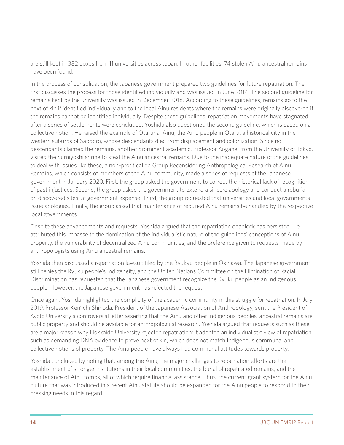are still kept in 382 boxes from 11 universities across Japan. In other facilities, 74 stolen Ainu ancestral remains have been found.

In the process of consolidation, the Japanese government prepared two guidelines for future repatriation. The first discusses the process for those identified individually and was issued in June 2014. The second guideline for remains kept by the university was issued in December 2018. According to these guidelines, remains go to the next of kin if identified individually and to the local Ainu residents where the remains were originally discovered if the remains cannot be identified individually. Despite these guidelines, repatriation movements have stagnated after a series of settlements were concluded. Yoshida also questioned the second guideline, which is based on a collective notion. He raised the example of Otarunai Ainu, the Ainu people in Otaru, a historical city in the western suburbs of Sapporo, whose descendants died from displacement and colonization. Since no descendants claimed the remains, another prominent academic, Professor Koganei from the University of Tokyo, visited the Sumiyoshi shrine to steal the Ainu ancestral remains. Due to the inadequate nature of the guidelines to deal with issues like these, a non-profit called Group Reconsidering Anthropological Research of Ainu Remains, which consists of members of the Ainu community, made a series of requests of the Japanese government in January 2020. First, the group asked the government to correct the historical lack of recognition of past injustices. Second, the group asked the government to extend a sincere apology and conduct a reburial on discovered sites, at government expense. Third, the group requested that universities and local governments issue apologies. Finally, the group asked that maintenance of reburied Ainu remains be handled by the respective local governments.

Despite these advancements and requests, Yoshida argued that the repatriation deadlock has persisted. He attributed this impasse to the domination of the individualistic nature of the guidelines' conceptions of Ainu property, the vulnerability of decentralized Ainu communities, and the preference given to requests made by anthropologists using Ainu ancestral remains.

Yoshida then discussed a repatriation lawsuit filed by the Ryukyu people in Okinawa. The Japanese government still denies the Ryuku people's Indigeneity, and the United Nations Committee on the Elimination of Racial Discrimination has requested that the Japanese government recognize the Ryuku people as an Indigenous people. However, the Japanese government has rejected the request.

Once again, Yoshida highlighted the complicity of the academic community in this struggle for repatriation. In July 2019, Professor Ken'ichi Shinoda, President of the Japanese Association of Anthropology, sent the President of Kyoto University a controversial letter asserting that the Ainu and other Indigenous peoples' ancestral remains are public property and should be available for anthropological research. Yoshida argued that requests such as these are a major reason why Hokkaido University rejected repatriation; it adopted an individualistic view of repatriation, such as demanding DNA evidence to prove next of kin, which does not match Indigenous communal and collective notions of property. The Ainu people have always had communal attitudes towards property.

Yoshida concluded by noting that, among the Ainu, the major challenges to repatriation efforts are the establishment of stronger institutions in their local communities, the burial of repatriated remains, and the maintenance of Ainu tombs, all of which require financial assistance. Thus, the current grant system for the Ainu culture that was introduced in a recent Ainu statute should be expanded for the Ainu people to respond to their pressing needs in this regard.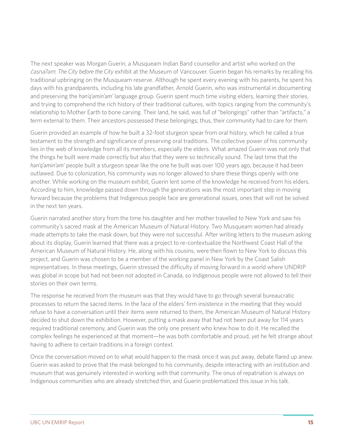The next speaker was Morgan Guerin, a Musqueam Indian Band counsellor and artist who worked on the c̓ əsnaʔəm: *The City before the City* exhibit at the Museum of Vancouver. Guerin began his remarks by recalling his traditional upbringing on the Musqueam reserve. Although he spent every evening with his parents, he spent his days with his grandparents, including his late grandfather, Arnold Guerin, who was instrumental in documenting and preserving the *hən'q'əmin'əm'* language group. Guerin spent much time visiting elders, learning their stories, and trying to comprehend the rich history of their traditional cultures, with topics ranging from the community's relationship to Mother Earth to bone carving. Their land, he said, was full of "belongings" rather than "artifacts," a term external to them. Their ancestors possessed these belongings; thus, their community had to care for them.

Guerin provided an example of how he built a 32-foot sturgeon spear from oral history, which he called a true testament to the strength and significance of preserving oral traditions. The collective power of his community lies in the web of knowledge from all its members, especially the elders. What amazed Guerin was not only that the things he built were made correctly but also that they were so technically sound. The last time that the *hən'q'əmin'əm'* people built a sturgeon spear like the one he built was over 100 years ago, because it had been outlawed. Due to colonization, his community was no longer allowed to share these things openly with one another. While working on the museum exhibit, Guerin lent some of the knowledge he received from his elders. According to him, knowledge passed down through the generations was the most important step in moving forward because the problems that Indigenous people face are generational issues, ones that will not be solved in the next ten years.

Guerin narrated another story from the time his daughter and her mother travelled to New York and saw his community's sacred mask at the American Museum of Natural History. Two Musqueam women had already made attempts to take the mask down, but they were not successful. After writing letters to the museum asking about its display, Guerin learned that there was a project to re-contextualize the Northwest Coast Hall of the American Museum of Natural History. He, along with his cousins, were then flown to New York to discuss this project, and Guerin was chosen to be a member of the working panel in New York by the Coast Salish representatives. In these meetings, Guerin stressed the difficulty of moving forward in a world where UNDRIP was global in scope but had not been not adopted in Canada, so Indigenous people were not allowed to tell their stories on their own terms.

The response he received from the museum was that they would have to go through several bureaucratic processes to return the sacred items. In the face of the elders' firm insistence in the meeting that they would refuse to have a conversation until their items were returned to them, the American Museum of Natural History decided to shut down the exhibition. However, putting a mask away that had not been put away for 114 years required traditional ceremony, and Guerin was the only one present who knew how to do it. He recalled the complex feelings he experienced at that moment—he was both comfortable and proud, yet he felt strange about having to adhere to certain traditions in a foreign context.

Once the conversation moved on to what would happen to the mask once it was put away, debate flared up anew. Guerin was asked to prove that the mask belonged to his community, despite interacting with an institution and museum that was genuinely interested in working with that community. The onus of repatriation is always on Indigenous communities who are already stretched thin, and Guerin problematized this issue in his talk.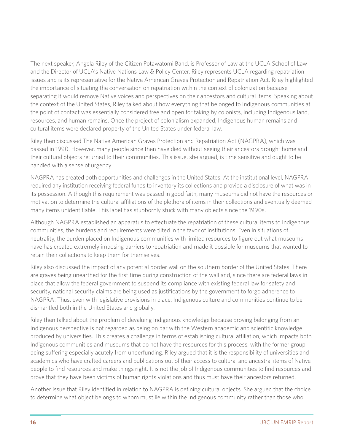The next speaker, Angela Riley of the Citizen Potawatomi Band, is Professor of Law at the UCLA School of Law and the Director of UCLA's Native Nations Law & Policy Center. Riley represents UCLA regarding repatriation issues and is its representative for the Native American Graves Protection and Repatriation Act. Riley highlighted the importance of situating the conversation on repatriation within the context of colonization because separating it would remove Native voices and perspectives on their ancestors and cultural items. Speaking about the context of the United States, Riley talked about how everything that belonged to Indigenous communities at the point of contact was essentially considered free and open for taking by colonists, including Indigenous land, resources, and human remains. Once the project of colonialism expanded, Indigenous human remains and cultural items were declared property of the United States under federal law.

Riley then discussed The Native American Graves Protection and Repatriation Act (NAGPRA), which was passed in 1990. However, many people since then have died without seeing their ancestors brought home and their cultural objects returned to their communities. This issue, she argued, is time sensitive and ought to be handled with a sense of urgency.

NAGPRA has created both opportunities and challenges in the United States. At the institutional level, NAGPRA required any institution receiving federal funds to inventory its collections and provide a disclosure of what was in its possession. Although this requirement was passed in good faith, many museums did not have the resources or motivation to determine the cultural affiliations of the plethora of items in their collections and eventually deemed many items unidentifiable. This label has stubbornly stuck with many objects since the 1990s.

Although NAGPRA established an apparatus to effectuate the repatriation of these cultural items to Indigenous communities, the burdens and requirements were tilted in the favor of institutions. Even in situations of neutrality, the burden placed on Indigenous communities with limited resources to figure out what museums have has created extremely imposing barriers to repatriation and made it possible for museums that wanted to retain their collections to keep them for themselves.

Riley also discussed the impact of any potential border wall on the southern border of the United States. There are graves being unearthed for the first time during construction of the wall and, since there are federal laws in place that allow the federal government to suspend its compliance with existing federal law for safety and security, national security claims are being used as justifications by the government to forgo adherence to NAGPRA. Thus, even with legislative provisions in place, Indigenous culture and communities continue to be dismantled both in the United States and globally.

Riley then talked about the problem of devaluing Indigenous knowledge because proving belonging from an Indigenous perspective is not regarded as being on par with the Western academic and scientific knowledge produced by universities. This creates a challenge in terms of establishing cultural affiliation, which impacts both Indigenous communities and museums that do not have the resources for this process, with the former group being suffering especially acutely from underfunding. Riley argued that it is the responsibility of universities and academics who have crafted careers and publications out of their access to cultural and ancestral items of Native people to find resources and make things right. It is not the job of Indigenous communities to find resources and prove that they have been victims of human rights violations and thus must have their ancestors returned.

Another issue that Riley identified in relation to NAGPRA is defining cultural objects. She argued that the choice to determine what object belongs to whom must lie within the Indigenous community rather than those who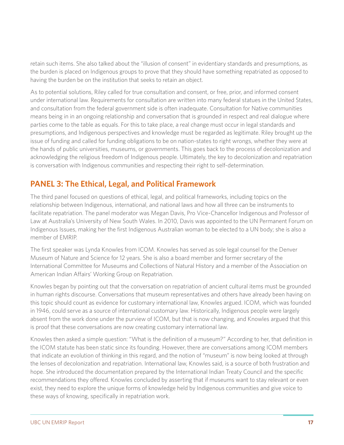retain such items. She also talked about the "illusion of consent" in evidentiary standards and presumptions, as the burden is placed on Indigenous groups to prove that they should have something repatriated as opposed to having the burden be on the institution that seeks to retain an object.

As to potential solutions, Riley called for true consultation and consent, or free, prior, and informed consent under international law. Requirements for consultation are written into many federal statues in the United States, and consultation from the federal government side is often inadequate. Consultation for Native communities means being in in an ongoing relationship and conversation that is grounded in respect and real dialogue where parties come to the table as equals. For this to take place, a real change must occur in legal standards and presumptions, and Indigenous perspectives and knowledge must be regarded as legitimate. Riley brought up the issue of funding and called for funding obligations to be on nation-states to right wrongs, whether they were at the hands of public universities, museums, or governments. This goes back to the process of decolonization and acknowledging the religious freedom of Indigenous people. Ultimately, the key to decolonization and repatriation is conversation with Indigenous communities and respecting their right to self-determination.

# **PANEL 3: The Ethical, Legal, and Political Framework**

The third panel focused on questions of ethical, legal, and political frameworks, including topics on the relationship between Indigenous, international, and national laws and how all three can be instruments to facilitate repatriation. The panel moderator was Megan Davis, Pro Vice-Chancellor Indigenous and Professor of Law at Australia's University of New South Wales. In 2010, Davis was appointed to the UN Permanent Forum on Indigenous Issues, making her the first Indigenous Australian woman to be elected to a UN body; she is also a member of EMRIP.

The first speaker was Lynda Knowles from ICOM. Knowles has served as sole legal counsel for the Denver Museum of Nature and Science for 12 years. She is also a board member and former secretary of the International Committee for Museums and Collections of Natural History and a member of the Association on American Indian Affairs' Working Group on Repatriation.

Knowles began by pointing out that the conversation on repatriation of ancient cultural items must be grounded in human rights discourse. Conversations that museum representatives and others have already been having on this topic should count as evidence for customary international law, Knowles argued. ICOM, which was founded in 1946, could serve as a source of international customary law. Historically, Indigenous people were largely absent from the work done under the purview of ICOM, but that is now changing, and Knowles argued that this is proof that these conversations are now creating customary international law.

Knowles then asked a simple question: "What is the definition of a museum?" According to her, that definition in the ICOM statute has been static since its founding. However, there are conversations among ICOM members that indicate an evolution of thinking in this regard, and the notion of "museum" is now being looked at through the lenses of decolonization and repatriation. International law, Knowles said, is a source of both frustration and hope. She introduced the documentation prepared by the International Indian Treaty Council and the specific recommendations they offered. Knowles concluded by asserting that if museums want to stay relevant or even exist, they need to explore the unique forms of knowledge held by Indigenous communities and give voice to these ways of knowing, specifically in repatriation work.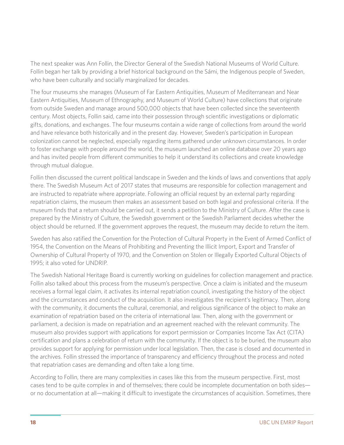The next speaker was Ann Follin, the Director General of the Swedish National Museums of World Culture. Follin began her talk by providing a brief historical background on the Sámi, the Indigenous people of Sweden, who have been culturally and socially marginalized for decades.

The four museums she manages (Museum of Far Eastern Antiquities, Museum of Mediterranean and Near Eastern Antiquities, Museum of Ethnography, and Museum of World Culture) have collections that originate from outside Sweden and manage around 500,000 objects that have been collected since the seventeenth century. Most objects, Follin said, came into their possession through scientific investigations or diplomatic gifts, donations, and exchanges. The four museums contain a wide range of collections from around the world and have relevance both historically and in the present day. However, Sweden's participation in European colonization cannot be neglected, especially regarding items gathered under unknown circumstances. In order to foster exchange with people around the world, the museum launched an online database over 20 years ago and has invited people from different communities to help it understand its collections and create knowledge through mutual dialogue.

Follin then discussed the current political landscape in Sweden and the kinds of laws and conventions that apply there. The Swedish Museum Act of 2017 states that museums are responsible for collection management and are instructed to repatriate where appropriate. Following an official request by an external party regarding repatriation claims, the museum then makes an assessment based on both legal and professional criteria. If the museum finds that a return should be carried out, it sends a petition to the Ministry of Culture. After the case is prepared by the Ministry of Culture, the Swedish government or the Swedish Parliament decides whether the object should be returned. If the government approves the request, the museum may decide to return the item.

Sweden has also ratified the Convention for the Protection of Cultural Property in the Event of Armed Conflict of 1954, the Convention on the Means of Prohibiting and Preventing the Illicit Import, Export and Transfer of Ownership of Cultural Property of 1970, and the Convention on Stolen or Illegally Exported Cultural Objects of 1995; it also voted for UNDRIP.

The Swedish National Heritage Board is currently working on guidelines for collection management and practice. Follin also talked about this process from the museum's perspective. Once a claim is initiated and the museum receives a formal legal claim, it activates its internal repatriation council, investigating the history of the object and the circumstances and conduct of the acquisition. It also investigates the recipient's legitimacy. Then, along with the community, it documents the cultural, ceremonial, and religious significance of the object to make an examination of repatriation based on the criteria of international law. Then, along with the government or parliament, a decision is made on repatriation and an agreement reached with the relevant community. The museum also provides support with applications for export permission or Companies Income Tax Act (CITA) certification and plans a celebration of return with the community. If the object is to be buried, the museum also provides support for applying for permission under local legislation. Then, the case is closed and documented in the archives. Follin stressed the importance of transparency and efficiency throughout the process and noted that repatriation cases are demanding and often take a long time.

According to Follin, there are many complexities in cases like this from the museum perspective. First, most cases tend to be quite complex in and of themselves; there could be incomplete documentation on both sides or no documentation at all—making it difficult to investigate the circumstances of acquisition. Sometimes, there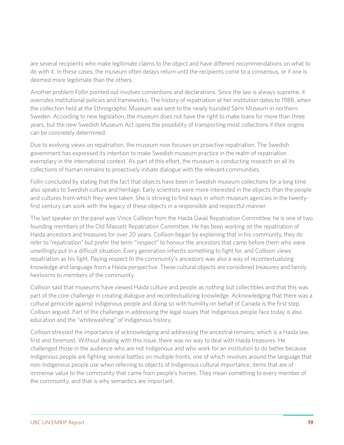are several recipients who make legitimate claims to the object and have different recommendations on what to do with it. In these cases, the museum often delays return until the recipients come to a consensus, or if one is deemed more legitimate than the others.

Another problem Follin pointed out involves conventions and declarations. Since the law is always supreme, it overrides institutional policies and frameworks. The history of repatriation at her institution dates to 1988, when the collection held at the Ethnographic Museum was sent to the newly founded Sámi Museum in northern Sweden. According to new legislation, the museum does not have the right to make loans for more than three years, but the new Swedish Museum Act opens the possibility of transporting most collections if their origins can be concretely determined.

Due to evolving views on repatriation, the museum now focuses on proactive repatriation. The Swedish government has expressed its intention to make Swedish museum practice in the realm of repatriation exemplary in the international context. As part of this effort, the museum is conducting research on all its collections of human remains to proactively initiate dialogue with the relevant communities.

Follin concluded by stating that the fact that objects have been in Swedish museum collections for a long time also speaks to Swedish culture and heritage. Early scientists were more interested in the objects than the people and cultures from which they were taken. She is striving to find ways in which museum agencies in the twentyfirst century can work with the legacy of these objects in a responsible and respectful manner.

The last speaker on the panel was Vince Collison from the Haida Gwaii Repatriation Committee; he is one of two founding members of the Old Massett Repatriation Committee. He has been working on the repatriation of Haida ancestors and treasures for over 20 years. Collison began by explaining that in his community, they do refer to "repatriation" but prefer the term "'respect" to honour the ancestors that came before them who were unwillingly put in a difficult situation. Every generation inherits something to fight for, and Collison views repatriation as his fight. Paying respect to the community's ancestors was also a way of recontextualizing knowledge and language from a Haida perspective. These cultural objects are considered treasures and family heirlooms to members of the community.

Collison said that museums have viewed Haida culture and people as nothing but collectibles and that this was part of the core challenge in creating dialogue and recontextualizing knowledge. Acknowledging that there was a cultural genocide against Indigenous people and doing so with humility on behalf of Canada is the first step, Collison argued. Part of the challenge in addressing the legal issues that Indigenous people face today is also education and the "whitewashing" of Indigenous history.

Collison stressed the importance of acknowledging and addressing the ancestral remains, which is a Haida law, first and foremost. Without dealing with this issue, there was no way to deal with Haida treasures. He challenged those in the audience who are not Indigenous and who work for an institution to do better because Indigenous people are fighting several battles on multiple fronts, one of which revolves around the language that non-Indigenous people use when referring to objects of Indigenous cultural importance, items that are of immense value to the community that came from people's homes. They mean something to every member of the community, and that is why semantics are important.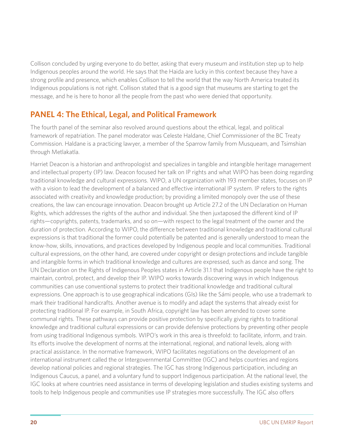Collison concluded by urging everyone to do better, asking that every museum and institution step up to help Indigenous peoples around the world. He says that the Haida are lucky in this context because they have a strong profile and presence, which enables Collison to tell the world that the way North America treated its Indigenous populations is not right. Collison stated that is a good sign that museums are starting to get the message, and he is here to honor all the people from the past who were denied that opportunity.

# **PANEL 4: The Ethical, Legal, and Political Framework**

The fourth panel of the seminar also revolved around questions about the ethical, legal, and political framework of repatriation. The panel moderator was Celeste Haldane, Chief Commissioner of the BC Treaty Commission. Haldane is a practicing lawyer, a member of the Sparrow family from Musqueam, and Tsimshian through Metlakatla.

Harriet Deacon is a historian and anthropologist and specializes in tangible and intangible heritage management and intellectual property (IP) law. Deacon focused her talk on IP rights and what WIPO has been doing regarding traditional knowledge and cultural expressions. WIPO, a UN organization with 193 member states, focuses on IP with a vision to lead the development of a balanced and effective international IP system. IP refers to the rights associated with creativity and knowledge production; by providing a limited monopoly over the use of these creations, the law can encourage innovation. Deacon brought up Article 27.2 of the UN Declaration on Human Rights, which addresses the rights of the author and individual. She then juxtaposed the different kind of IP rights—copyrights, patents, trademarks, and so on—with respect to the legal treatment of the owner and the duration of protection. According to WIPO, the difference between traditional knowledge and traditional cultural expressions is that traditional the former could potentially be patented and is generally understood to mean the know-how, skills, innovations, and practices developed by Indigenous people and local communities. Traditional cultural expressions, on the other hand, are covered under copyright or design protections and include tangible and intangible forms in which traditional knowledge and cultures are expressed, such as dance and song. The UN Declaration on the Rights of Indigenous Peoples states in Article 31.1 that Indigenous people have the right to maintain, control, protect, and develop their IP. WIPO works towards discovering ways in which Indigenous communities can use conventional systems to protect their traditional knowledge and traditional cultural expressions. One approach is to use geographical indications (GIs) like the Sámi people, who use a trademark to mark their traditional handicrafts. Another avenue is to modify and adapt the systems that already exist for protecting traditional IP. For example, in South Africa, copyright law has been amended to cover some communal rights. These pathways can provide positive protection by specifically giving rights to traditional knowledge and traditional cultural expressions or can provide defensive protections by preventing other people from using traditional Indigenous symbols. WIPO's work in this area is threefold: to facilitate, inform, and train. Its efforts involve the development of norms at the international, regional, and national levels, along with practical assistance. In the normative framework, WIPO facilitates negotiations on the development of an international instrument called the or Intergovernmental Committee (IGC) and helps countries and regions develop national policies and regional strategies. The IGC has strong Indigenous participation, including an Indigenous Caucus, a panel, and a voluntary fund to support Indigenous participation. At the national level, the IGC looks at where countries need assistance in terms of developing legislation and studies existing systems and tools to help Indigenous people and communities use IP strategies more successfully. The IGC also offers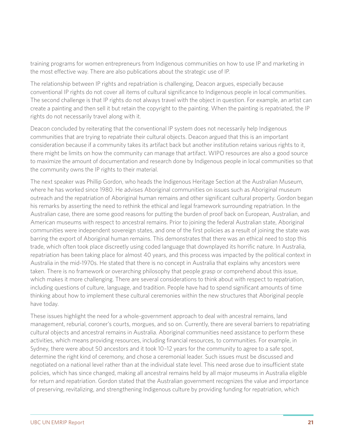training programs for women entrepreneurs from Indigenous communities on how to use IP and marketing in the most effective way. There are also publications about the strategic use of IP.

The relationship between IP rights and repatriation is challenging, Deacon argues, especially because conventional IP rights do not cover all items of cultural significance to Indigenous people in local communities. The second challenge is that IP rights do not always travel with the object in question. For example, an artist can create a painting and then sell it but retain the copyright to the painting. When the painting is repatriated, the IP rights do not necessarily travel along with it.

Deacon concluded by reiterating that the conventional IP system does not necessarily help Indigenous communities that are trying to repatriate their cultural objects. Deacon argued that this is an important consideration because if a community takes its artifact back but another institution retains various rights to it, there might be limits on how the community can manage that artifact. WIPO resources are also a good source to maximize the amount of documentation and research done by Indigenous people in local communities so that the community owns the IP rights to their material.

The next speaker was Phillip Gordon, who heads the Indigenous Heritage Section at the Australian Museum, where he has worked since 1980. He advises Aboriginal communities on issues such as Aboriginal museum outreach and the repatriation of Aboriginal human remains and other significant cultural property. Gordon began his remarks by asserting the need to rethink the ethical and legal framework surrounding repatriation. In the Australian case, there are some good reasons for putting the burden of proof back on European, Australian, and American museums with respect to ancestral remains. Prior to joining the federal Australian state, Aboriginal communities were independent sovereign states, and one of the first policies as a result of joining the state was barring the export of Aboriginal human remains. This demonstrates that there was an ethical need to stop this trade, which often took place discreetly using coded language that downplayed its horrific nature. In Australia, repatriation has been taking place for almost 40 years, and this process was impacted by the political context in Australia in the mid-1970s. He stated that there is no concept in Australia that explains why ancestors were taken. There is no framework or overarching philosophy that people grasp or comprehend about this issue, which makes it more challenging. There are several considerations to think about with respect to repatriation, including questions of culture, language, and tradition. People have had to spend significant amounts of time thinking about how to implement these cultural ceremonies within the new structures that Aboriginal people have today.

These issues highlight the need for a whole-government approach to deal with ancestral remains, land management, reburial, coroner's courts, morgues, and so on. Currently, there are several barriers to repatriating cultural objects and ancestral remains in Australia. Aboriginal communities need assistance to perform these activities, which means providing resources, including financial resources, to communities. For example, in Sydney, there were about 50 ancestors and it took 10–12 years for the community to agree to a safe spot, determine the right kind of ceremony, and chose a ceremonial leader. Such issues must be discussed and negotiated on a national level rather than at the individual state level. This need arose due to insufficient state policies, which has since changed, making all ancestral remains held by all major museums in Australia eligible for return and repatriation. Gordon stated that the Australian government recognizes the value and importance of preserving, revitalizing, and strengthening Indigenous culture by providing funding for repatriation, which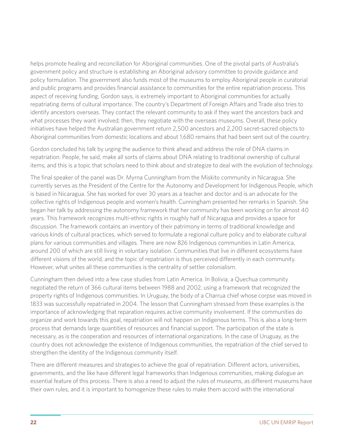helps promote healing and reconciliation for Aboriginal communities. One of the pivotal parts of Australia's government policy and structure is establishing an Aboriginal advisory committee to provide guidance and policy formulation. The government also funds most of the museums to employ Aboriginal people in curatorial and public programs and provides financial assistance to communities for the entire repatriation process. This aspect of receiving funding, Gordon says, is extremely important to Aboriginal communities for actually repatriating items of cultural importance. The country's Department of Foreign Affairs and Trade also tries to identify ancestors overseas. They contact the relevant community to ask if they want the ancestors back and what processes they want involved; then, they negotiate with the overseas museums. Overall, these policy initiatives have helped the Australian government return 2,500 ancestors and 2,200 secret-sacred objects to Aboriginal communities from domestic locations and about 1,680 remains that had been sent out of the country.

Gordon concluded his talk by urging the audience to think ahead and address the role of DNA claims in repatriation. People, he said, make all sorts of claims about DNA relating to traditional ownership of cultural items, and this is a topic that scholars need to think about and strategize to deal with the evolution of technology.

The final speaker of the panel was Dr. Myrna Cunningham from the Miskito community in Nicaragua. She currently serves as the President of the Centre for the Autonomy and Development for Indigenous People, which is based in Nicaragua. She has worked for over 30 years as a teacher and doctor and is an advocate for the collective rights of Indigenous people and women's health. Cunningham presented her remarks in Spanish. She began her talk by addressing the autonomy framework that her community has been working on for almost 40 years. This framework recognizes multi-ethnic rights in roughly half of Nicaragua and provides a space for discussion. The framework contains an inventory of their patrimony in terms of traditional knowledge and various kinds of cultural practices, which served to formulate a regional culture policy and to elaborate cultural plans for various communities and villages. There are now 826 Indigenous communities in Latin America, around 200 of which are still living in voluntary isolation. Communities that live in different ecosystems have different visions of the world, and the topic of repatriation is thus perceived differently in each community. However, what unites all these communities is the centrality of settler colonialism.

Cunningham then delved into a few case studies from Latin America. In Bolivia, a Quechua community negotiated the return of 366 cultural items between 1988 and 2002, using a framework that recognized the property rights of Indigenous communities. In Uruguay, the body of a Charrua chief whose corpse was moved in 1833 was successfully repatriated in 2004. The lesson that Cunningham stressed from these examples is the importance of acknowledging that reparation requires active community involvement. If the communities do organize and work towards this goal, repatriation will not happen on Indigenous terms. This is also a long-term process that demands large quantities of resources and financial support. The participation of the state is necessary, as is the cooperation and resources of international organizations. In the case of Uruguay, as the country does not acknowledge the existence of Indigenous communities, the repatriation of the chief served to strengthen the identity of the Indigenous community itself.

There are different measures and strategies to achieve the goal of repatriation. Different actors, universities, governments, and the like have different legal frameworks than Indigenous communities, making dialogue an essential feature of this process. There is also a need to adjust the rules of museums, as different museums have their own rules, and it is important to homogenize these rules to make them accord with the international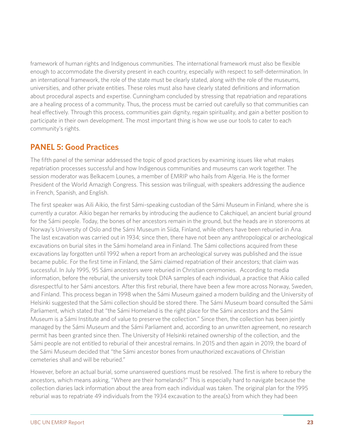framework of human rights and Indigenous communities. The international framework must also be flexible enough to accommodate the diversity present in each country, especially with respect to self-determination. In an international framework, the role of the state must be clearly stated, along with the role of the museums, universities, and other private entities. These roles must also have clearly stated definitions and information about procedural aspects and expertise. Cunningham concluded by stressing that repatriation and reparations are a healing process of a community. Thus, the process must be carried out carefully so that communities can heal effectively. Through this process, communities gain dignity, regain spirituality, and gain a better position to participate in their own development. The most important thing is how we use our tools to cater to each community's rights.

# **PANEL 5: Good Practices**

The fifth panel of the seminar addressed the topic of good practices by examining issues like what makes repatriation processes successful and how Indigenous communities and museums can work together. The session moderator was Belkacem Lounes, a member of EMRIP who hails from Algeria. He is the former President of the World Amazigh Congress. This session was trilingual, with speakers addressing the audience in French, Spanish, and English.

The first speaker was Aili Aikio, the first Sámi-speaking custodian of the Sámi Museum in Finland, where she is currently a curator. Aikio began her remarks by introducing the audience to Cakchiquel, an ancient burial ground for the Sámi people. Today, the bones of her ancestors remain in the ground, but the heads are in storerooms at Norway's University of Oslo and the Sámi Museum in Siida, Finland, while others have been reburied in Ana. The last excavation was carried out in 1934; since then, there have not been any anthropological or archeological excavations on burial sites in the Sámi homeland area in Finland. The Sámi collections acquired from these excavations lay forgotten until 1992 when a report from an archeological survey was published and the issue became public. For the first time in Finland, the Sámi claimed repatriation of their ancestors; that claim was successful. In July 1995, 95 Sámi ancestors were reburied in Christian ceremonies. According to media information, before the reburial, the university took DNA samples of each individual, a practice that Aikio called disrespectful to her Sámi ancestors. After this first reburial, there have been a few more across Norway, Sweden, and Finland. This process began in 1998 when the Sámi Museum gained a modern building and the University of Helsinki suggested that the Sámi collection should be stored there. The Sámi Museum board consulted the Sámi Parliament, which stated that "the Sámi Homeland is the right place for the Sámi ancestors and the Sámi Museum is a Sámi Institute and of value to preserve the collection." Since then, the collection has been jointly managed by the Sámi Museum and the Sámi Parliament and, according to an unwritten agreement, no research permit has been granted since then. The University of Helsinki retained ownership of the collection, and the Sámi people are not entitled to reburial of their ancestral remains. In 2015 and then again in 2019, the board of the Sámi Museum decided that "the Sámi ancestor bones from unauthorized excavations of Christian cemeteries shall and will be reburied."

However, before an actual burial, some unanswered questions must be resolved. The first is where to rebury the ancestors, which means asking, "Where are their homelands?" This is especially hard to navigate because the collection diaries lack information about the area from each individual was taken. The original plan for the 1995 reburial was to repatriate 49 individuals from the 1934 excavation to the area(s) from which they had been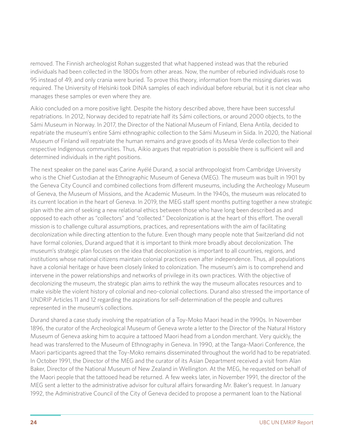removed. The Finnish archeologist Rohan suggested that what happened instead was that the reburied individuals had been collected in the 1800s from other areas. Now, the number of reburied individuals rose to 95 instead of 49, and only crania were buried. To prove this theory, information from the missing diaries was required. The University of Helsinki took DINA samples of each individual before reburial, but it is not clear who manages these samples or even where they are.

Aikio concluded on a more positive light. Despite the history described above, there have been successful repatriations. In 2012, Norway decided to repatriate half its Sámi collections, or around 2000 objects, to the Sámi Museum in Norway. In 2017, the Director of the National Museum of Finland, Elena Antila, decided to repatriate the museum's entire Sámi ethnographic collection to the Sámi Museum in Siida. In 2020, the National Museum of Finland will repatriate the human remains and grave goods of its Mesa Verde collection to their respective Indigenous communities. Thus, Aikio argues that repatriation is possible there is sufficient will and determined individuals in the right positions.

The next speaker on the panel was Carine Ayélé Durand, a social anthropologist from Cambridge University who is the Chief Custodian at the Ethnographic Museum of Geneva (MEG). The museum was built in 1901 by the Geneva City Council and combined collections from different museums, including the Archeology Museum of Geneva, the Museum of Missions, and the Academic Museum. In the 1940s, the museum was relocated to its current location in the heart of Geneva. In 2019, the MEG staff spent months putting together a new strategic plan with the aim of seeking a new relational ethics between those who have long been described as and opposed to each other as "collectors" and "collected." Decolonization is at the heart of this effort. The overall mission is to challenge cultural assumptions, practices, and representations with the aim of facilitating decolonization while directing attention to the future. Even though many people note that Switzerland did not have formal colonies, Durand argued that it is important to think more broadly about decolonization. The museum's strategic plan focuses on the idea that decolonization is important to all countries, regions, and institutions whose national citizens maintain colonial practices even after independence. Thus, all populations have a colonial heritage or have been closely linked to colonization. The museum's aim is to comprehend and intervene in the power relationships and networks of privilege in its own practices. With the objective of decolonizing the museum, the strategic plan aims to rethink the way the museum allocates resources and to make visible the violent history of colonial and neo-colonial collections. Durand also stressed the importance of UNDRIP Articles 11 and 12 regarding the aspirations for self-determination of the people and cultures represented in the museum's collections.

Durand shared a case study involving the repatriation of a Toy-Moko Maori head in the 1990s. In November 1896, the curator of the Archeological Museum of Geneva wrote a letter to the Director of the Natural History Museum of Geneva asking him to acquire a tattooed Maori head from a London merchant. Very quickly, the head was transferred to the Museum of Ethnography in Geneva. In 1990, at the Tanga-Maori Conference, the Maori participants agreed that the Toy-Moko remains disseminated throughout the world had to be repatriated. In October 1991, the Director of the MEG and the curator of its Asian Department received a visit from Alan Baker, Director of the National Museum of New Zealand in Wellington. At the MEG, he requested on behalf of the Maori people that the tattooed head be returned. A few weeks later, in November 1991, the director of the MEG sent a letter to the administrative advisor for cultural affairs forwarding Mr. Baker's request. In January 1992, the Administrative Council of the City of Geneva decided to propose a permanent loan to the National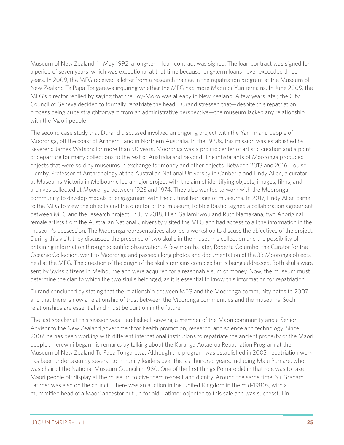Museum of New Zealand; in May 1992, a long-term loan contract was signed. The loan contract was signed for a period of seven years, which was exceptional at that time because long-term loans never exceeded three years. In 2009, the MEG received a letter from a research trainee in the repatriation program at the Museum of New Zealand Te Papa Tongarewa inquiring whether the MEG had more Maori or Yuri remains. In June 2009, the MEG's director replied by saying that the Toy-Moko was already in New Zealand. A few years later, the City Council of Geneva decided to formally repatriate the head. Durand stressed that—despite this repatriation process being quite straightforward from an administrative perspective—the museum lacked any relationship with the Maori people.

The second case study that Durand discussed involved an ongoing project with the Yan-nhanu people of Mooronga, off the coast of Arnhem Land in Northern Australia. In the 1920s, this mission was established by Reverend James Watson; for more than 50 years, Mooronga was a prolific center of artistic creation and a point of departure for many collections to the rest of Australia and beyond. The inhabitants of Mooronga produced objects that were sold by museums in exchange for money and other objects. Between 2013 and 2016, Louise Hemby, Professor of Anthropology at the Australian National University in Canberra and Lindy Allen, a curator at Museums Victoria in Melbourne led a major project with the aim of identifying objects, images, films, and archives collected at Mooronga between 1923 and 1974. They also wanted to work with the Mooronga community to develop models of engagement with the cultural heritage of museums. In 2017, Lindy Allen came to the MEG to view the objects and the director of the museum, Robbie Bastio, signed a collaboration agreement between MEG and the research project. In July 2018, Ellen Gallamirwou and Ruth Namakana, two Aboriginal female artists from the Australian National University visited the MEG and had access to all the information in the museum's possession. The Mooronga representatives also led a workshop to discuss the objectives of the project. During this visit, they discussed the presence of two skulls in the museum's collection and the possibility of obtaining information through scientific observation. A few months later, Roberta Columbo, the Curator for the Oceanic Collection, went to Mooronga and passed along photos and documentation of the 33 Mooronga objects held at the MEG. The question of the origin of the skulls remains complex but is being addressed. Both skulls were sent by Swiss citizens in Melbourne and were acquired for a reasonable sum of money. Now, the museum must determine the clan to which the two skulls belonged, as it is essential to know this information for repatriation.

Durand concluded by stating that the relationship between MEG and the Mooronga community dates to 2007 and that there is now a relationship of trust between the Mooronga communities and the museums. Such relationships are essential and must be built on in the future.

The last speaker at this session was Herekiekie Herewini, a member of the Maori community and a Senior Advisor to the New Zealand government for health promotion, research, and science and technology. Since 2007, he has been working with different international institutions to repatriate the ancient property of the Maori people.. Herewini began his remarks by talking about the Karanga Aotaeroa Repatriation Program at the Museum of New Zealand Te Papa Tongarewa. Although the program was established in 2003, repatriation work has been undertaken by several community leaders over the last hundred years, including Maui Pomare, who was chair of the National Museum Council in 1980. One of the first things Pomare did in that role was to take Maori people off display at the museum to give them respect and dignity. Around the same time, Sir Graham Latimer was also on the council. There was an auction in the United Kingdom in the mid-1980s, with a mummified head of a Maori ancestor put up for bid. Latimer objected to this sale and was successful in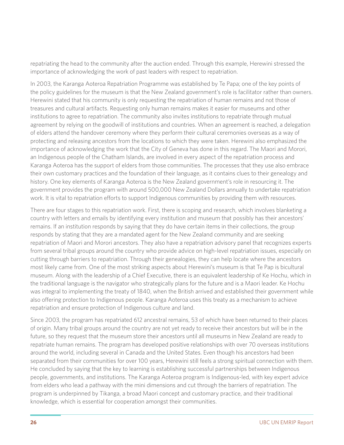repatriating the head to the community after the auction ended. Through this example, Herewini stressed the importance of acknowledging the work of past leaders with respect to repatriation.

In 2003, the Karanga Aoteroa Repatriation Programme was established by Te Papa; one of the key points of the policy guidelines for the museum is that the New Zealand government's role is facilitator rather than owners. Herewini stated that his community is only requesting the repatriation of human remains and not those of treasures and cultural artifacts. Requesting only human remains makes it easier for museums and other institutions to agree to repatriation. The community also invites institutions to repatriate through mutual agreement by relying on the goodwill of institutions and countries. When an agreement is reached, a delegation of elders attend the handover ceremony where they perform their cultural ceremonies overseas as a way of protecting and releasing ancestors from the locations to which they were taken. Herewini also emphasized the importance of acknowledging the work that the City of Geneva has done in this regard. The Maori and Morori, an Indigenous people of the Chatham Islands, are involved in every aspect of the repatriation process and Karanga Aoteroa has the support of elders from those communities. The processes that they use also embrace their own customary practices and the foundation of their language, as it contains clues to their genealogy and history. One key elements of Karanga Aoteroa is the New Zealand government's role in resourcing it. The government provides the program with around 500,000 New Zealand Dollars annually to undertake repatriation work. It is vital to repatriation efforts to support Indigenous communities by providing them with resources.

There are four stages to this repatriation work. First, there is scoping and research, which involves blanketing a country with letters and emails by identifying every institution and museum that possibly has their ancestors' remains. If an institution responds by saying that they do have certain items in their collections, the group responds by stating that they are a mandated agent for the New Zealand community and are seeking repatriation of Maori and Morori ancestors. They also have a repatriation advisory panel that recognizes experts from several tribal groups around the country who provide advice on high-level repatriation issues, especially on cutting through barriers to repatriation. Through their genealogies, they can help locate where the ancestors most likely came from. One of the most striking aspects about Herewini's museum is that Te Pap is bicultural museum. Along with the leadership of a Chief Executive, there is an equivalent leadership of Ke Hochu, which in the traditional language is the navigator who strategically plans for the future and is a Maori leader. Ke Hochu was integral to implementing the treaty of 1840, when the British arrived and established their government while also offering protection to Indigenous people. Karanga Aoteroa uses this treaty as a mechanism to achieve repatriation and ensure protection of Indigenous culture and land.

Since 2003, the program has repatriated 612 ancestral remains, 53 of which have been returned to their places of origin. Many tribal groups around the country are not yet ready to receive their ancestors but will be in the future, so they request that the museum store their ancestors until all museums in New Zealand are ready to repatriate human remains. The program has developed positive relationships with over 70 overseas institutions around the world, including several in Canada and the United States. Even though his ancestors had been separated from their communities for over 100 years, Herewini still feels a strong spiritual connection with them. He concluded by saying that the key to learning is establishing successful partnerships between Indigenous people, governments, and institutions. The Karanga Aoteroa program is Indigenous-led, with key expert advice from elders who lead a pathway with the mini dimensions and cut through the barriers of repatriation. The program is underpinned by Tikanga, a broad Maori concept and customary practice, and their traditional knowledge, which is essential for cooperation amongst their communities.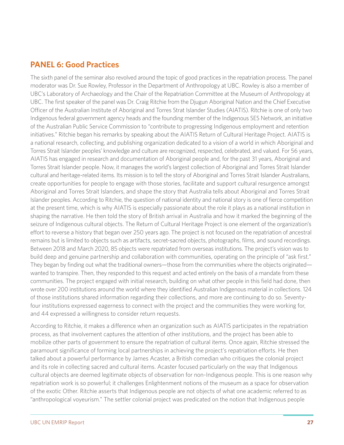## **PANEL 6: Good Practices**

The sixth panel of the seminar also revolved around the topic of good practices in the repatriation process. The panel moderator was Dr. Sue Rowley, Professor in the Department of Anthropology at UBC. Rowley is also a member of UBC's Laboratory of Archaeology and the Chair of the Repatriation Committee at the Museum of Anthropology at UBC. The first speaker of the panel was Dr. Craig Ritchie from the Djugun Aboriginal Nation and the Chief Executive Officer of the Australian Institute of Aboriginal and Torres Strat Islander Studies (AIATIS). Ritchie is one of only two Indigenous federal government agency heads and the founding member of the Indigenous SES Network, an initiative of the Australian Public Service Commission to "contribute to progressing Indigenous employment and retention initiatives." Ritchie began his remarks by speaking about the AIATIS Return of Cultural Heritage Project. AIATIS is a national research, collecting, and publishing organization dedicated to a vision of a world in which Aboriginal and Torres Strait Islander peoples' knowledge and culture are recognized, respected, celebrated, and valued. For 56 years, AIATIS has engaged in research and documentation of Aboriginal people and, for the past 31 years, Aboriginal and Torres Strait Islander people. Now, it manages the world's largest collection of Aboriginal and Torres Strait Islander cultural and heritage-related items. Its mission is to tell the story of Aboriginal and Torres Strait Islander Australians, create opportunities for people to engage with those stories, facilitate and support cultural resurgence amongst Aboriginal and Torres Strait Islanders, and shape the story that Australia tells about Aboriginal and Torres Strait Islander peoples. According to Ritchie, the question of national identity and national story is one of fierce competition at the present time, which is why AIATIS is especially passionate about the role it plays as a national institution in shaping the narrative. He then told the story of British arrival in Australia and how it marked the beginning of the seizure of Indigenous cultural objects. The Return of Cultural Heritage Project is one element of the organization's effort to reverse a history that began over 250 years ago. The project is not focused on the repatriation of ancestral remains but is limited to objects such as artifacts, secret-sacred objects, photographs, films, and sound recordings. Between 2018 and March 2020, 85 objects were repatriated from overseas institutions. The project's vision was to build deep and genuine partnership and collaboration with communities, operating on the principle of "ask first." They began by finding out what the traditional owners—those from the communities where the objects originated wanted to transpire. Then, they responded to this request and acted entirely on the basis of a mandate from these communities. The project engaged with initial research, building on what other people in this field had done, then wrote over 200 institutions around the world where they identified Australian Indigenous material in collections. 124 of those institutions shared information regarding their collections, and more are continuing to do so. Seventyfour institutions expressed eagerness to connect with the project and the communities they were working for, and 44 expressed a willingness to consider return requests.

According to Ritchie, it makes a difference when an organization such as AIATIS participates in the repatriation process, as that involvement captures the attention of other institutions, and the project has been able to mobilize other parts of government to ensure the repatriation of cultural items. Once again, Ritchie stressed the paramount significance of forming local partnerships in achieving the project's repatriation efforts. He then talked about a powerful performance by James Acaster, a British comedian who critiques the colonial project and its role in collecting sacred and cultural items. Acaster focused particularly on the way that Indigenous cultural objects are deemed legitimate objects of observation for non-Indigenous people. This is one reason why repatriation work is so powerful; it challenges Enlightenment notions of the museum as a space for observation of the exotic Other. Ritchie asserts that Indigenous people are not objects of what one academic referred to as "anthropological voyeurism." The settler colonial project was predicated on the notion that Indigenous people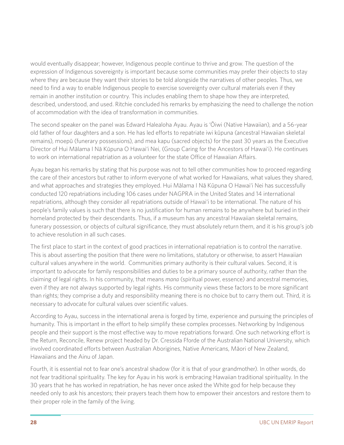would eventually disappear; however, Indigenous people continue to thrive and grow. The question of the expression of Indigenous sovereignty is important because some communities may prefer their objects to stay where they are because they want their stories to be told alongside the narratives of other peoples. Thus, we need to find a way to enable Indigenous people to exercise sovereignty over cultural materials even if they remain in another institution or country. This includes enabling them to shape how they are interpreted, described, understood, and used. Ritchie concluded his remarks by emphasizing the need to challenge the notion of accommodation with the idea of transformation in communities.

The second speaker on the panel was Edward Halealoha Ayau. Ayau is 'Ōiwi (Native Hawaiian), and a 56-year old father of four daughters and a son. He has led efforts to repatriate iwi kūpuna (ancestral Hawaiian skeletal remains), moepū (funerary possessions), and mea kapu (sacred objects) for the past 30 years as the Executive Director of Hui Mālama I Nā Kūpuna O Hawai'i Nei, (Group Caring for the Ancestors of Hawai'i). He continues to work on international repatriation as a volunteer for the state Office of Hawaiian Affairs.

Ayau began his remarks by stating that his purpose was not to tell other communities how to proceed regarding the care of their ancestors but rather to inform everyone of what worked for Hawaiians, what values they shared, and what approaches and strategies they employed. Hui Mālama I Nā Kūpuna O Hawai'i Nei has successfully conducted 120 repatriations including 106 cases under NAGPRA in the United States and 14 international repatriations, although they consider all repatriations outside of Hawai'i to be international. The nature of his people's family values is such that there is no justification for human remains to be anywhere but buried in their homeland protected by their descendants. Thus, if a museum has any ancestral Hawaiian skeletal remains, funerary possession, or objects of cultural significance, they must absolutely return them, and it is his group's job to achieve resolution in all such cases.

The first place to start in the context of good practices in international repatriation is to control the narrative. This is about asserting the position that there were no limitations, statutory or otherwise, to assert Hawaiian cultural values anywhere in the world. Communities primary authority is their cultural values. Second, it is important to advocate for family responsibilities and duties to be a primary source of authority, rather than the claiming of legal rights. In his community, that means *mana* (spiritual power, essence) and ancestral memories, even if they are not always supported by legal rights. His community views these factors to be more significant than rights; they comprise a duty and responsibility meaning there is no choice but to carry them out. Third, it is necessary to advocate for cultural values over scientific values.

According to Ayau, success in the international arena is forged by time, experience and pursuing the principles of humanity. This is important in the effort to help simplify these complex processes. Networking by Indigenous people and their support is the most effective way to move repatriations forward. One such networking effort is the Return, Reconcile, Renew project headed by Dr. Cressida Fforde of the Australian National University, which involved coordinated efforts between Australian Aborigines, Native Americans, Māori of New Zealand, Hawaiians and the Ainu of Japan.

Fourth, it is essential not to fear one's ancestral shadow (for it is that of your grandmother). In other words, do not fear traditional spirituality. The key for Ayau in his work is embracing Hawaiian traditional spirituality. In the 30 years that he has worked in repatriation, he has never once asked the White god for help because they needed only to ask his ancestors; their prayers teach them how to empower their ancestors and restore them to their proper role in the family of the living.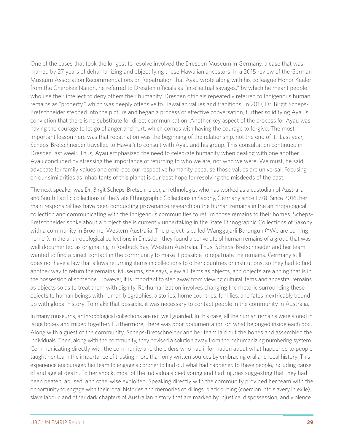One of the cases that took the longest to resolve involved the Dresden Museum in Germany, a case that was marred by 27 years of dehumanizing and objectifying these Hawaiian ancestors. In a 2015 review of the German Museum Association Recommendations on Repatriation that Ayau wrote along with his colleague Honor Keeler from the Cherokee Nation, he referred to Dresden officials as "intellectual savages," by which he meant people who use their intellect to deny others their humanity. Dresden officials repeatedly referred to Indigenous human remains as "property," which was deeply offensive to Hawaiian values and traditions. In 2017, Dr. Birgit Scheps-Bretschneider stepped into the picture and began a process of effective conversation, further solidifying Ayau's conviction that there is no substitute for direct communication. Another key aspect of the process for Ayau was having the courage to let go of anger and hurt, which comes with having the courage to forgive. The most important lesson here was that repatriation was the beginning of the relationship, not the end of it. Last year, Scheps-Bretschneider travelled to Hawai'i to consult with Ayau and his group. This consultation continued in Dresden last week. Thus, Ayau emphasized the need to celebrate humanity when dealing with one another. Ayau concluded by stressing the importance of returning to who we are, not who we were. We must, he said, advocate for family values and embrace our respective humanity because those values are universal. Focusing on our similarities as inhabitants of this planet is our best hope for resolving the misdeeds of the past.

The next speaker was Dr. Birgit Scheps-Bretschneider, an ethnologist who has worked as a custodian of Australian and South Pacific collections of the State Ethnographic Collections in Saxony, Germany since 1978. Since 2016, her main responsibilities have been conducting provenance research on the human remains in the anthropological collection and communicating with the Indigenous communities to return those remains to their homes. Scheps-Bretschneider spoke about a project she is currently undertaking in the State Ethnographic Collections of Saxony with a community in Broome, Western Australia. The project is called Wanggajarli Burungun ("We are coming home"). In the anthropological collections in Dresden, they found a convolute of human remains of a group that was well documented as originating in Roebuck Bay, Western Australia. Thus, Scheps-Bretschneider and her team wanted to find a direct contact in the community to make it possible to repatriate the remains. Germany still does not have a law that allows returning items in collections to other countries or institutions, so they had to find another way to return the remains. Museums, she says, view all items as objects, and objects are a thing that is in the possession of someone. However, it is important to step away from viewing cultural items and ancestral remains as objects so as to treat them with dignity. Re-humanization involves changing the rhetoric surrounding these objects to human beings with human biographies, a stories, home countries, families, and fates inextricably bound up with global history. To make that possible, it was necessary to contact people in the community in Australia.

In many museums, anthropological collections are not well guarded. In this case, all the human remains were stored in large boxes and mixed together. Furthermore, there was poor documentation on what belonged inside each box. Along with a guest of the community, Scheps-Bretschneider and her team laid out the bones and assembled the individuals. Then, along with the community, they devised a solution away from the dehumanizing numbering system. Communicating directly with the community and the elders who had information about what happened to people taught her team the importance of trusting more than only written sources by embracing oral and local history. This experience encouraged her team to engage a coroner to find out what had happened to these people, including cause of and age at death. To her shock, most of the individuals died young and had injuries suggesting that they had been beaten, abused, and otherwise exploited. Speaking directly with the community provided her team with the opportunity to engage with their local histories and memories of killings, black birding (coercion into slavery in exile), slave labour, and other dark chapters of Australian history that are marked by injustice, dispossession, and violence.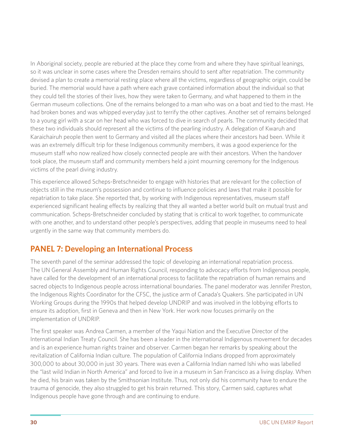In Aboriginal society, people are reburied at the place they come from and where they have spiritual leanings, so it was unclear in some cases where the Dresden remains should to sent after repatriation. The community devised a plan to create a memorial resting place where all the victims, regardless of geographic origin, could be buried. The memorial would have a path where each grave contained information about the individual so that they could tell the stories of their lives, how they were taken to Germany, and what happened to them in the German museum collections. One of the remains belonged to a man who was on a boat and tied to the mast. He had broken bones and was whipped everyday just to terrify the other captives. Another set of remains belonged to a young girl with a scar on her head who was forced to dive in search of pearls. The community decided that these two individuals should represent all the victims of the pearling industry. A delegation of Kwaruh and Karaichairuh people then went to Germany and visited all the places where their ancestors had been. While it was an extremely difficult trip for these Indigenous community members, it was a good experience for the museum staff who now realized how closely connected people are with their ancestors. When the handover took place, the museum staff and community members held a joint mourning ceremony for the Indigenous victims of the pearl diving industry.

This experience allowed Scheps-Bretschneider to engage with histories that are relevant for the collection of objects still in the museum's possession and continue to influence policies and laws that make it possible for repatriation to take place. She reported that, by working with Indigenous representatives, museum staff experienced significant healing effects by realizing that they all wanted a better world built on mutual trust and communication. Scheps-Bretschneider concluded by stating that is critical to work together, to communicate with one another, and to understand other people's perspectives, adding that people in museums need to heal urgently in the same way that community members do.

# **PANEL 7: Developing an International Process**

The seventh panel of the seminar addressed the topic of developing an international repatriation process. The UN General Assembly and Human Rights Council, responding to advocacy efforts from Indigenous people, have called for the development of an international process to facilitate the repatriation of human remains and sacred objects to Indigenous people across international boundaries. The panel moderator was Jennifer Preston, the Indigenous Rights Coordinator for the CFSC, the justice arm of Canada's Quakers. She participated in UN Working Groups during the 1990s that helped develop UNDRIP and was involved in the lobbying efforts to ensure its adoption, first in Geneva and then in New York. Her work now focuses primarily on the implementation of UNDRIP.

The first speaker was Andrea Carmen, a member of the Yaqui Nation and the Executive Director of the International Indian Treaty Council. She has been a leader in the international Indigenous movement for decades and is an experience human rights trainer and observer. Carmen began her remarks by speaking about the revitalization of California Indian culture. The population of California Indians dropped from approximately 300,000 to about 30,000 in just 30 years. There was even a California Indian named Ishi who was labelled the "last wild Indian in North America" and forced to live in a museum in San Francisco as a living display. When he died, his brain was taken by the Smithsonian Institute. Thus, not only did his community have to endure the trauma of genocide, they also struggled to get his brain returned. This story, Carmen said, captures what Indigenous people have gone through and are continuing to endure.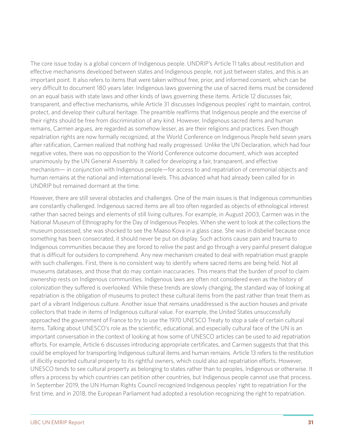The core issue today is a global concern of Indigenous people. UNDRIP's Article 11 talks about restitution and effective mechanisms developed between states and Indigenous people, not just between states, and this is an important point. It also refers to items that were taken without free, prior, and informed consent, which can be very difficult to document 180 years later. Indigenous laws governing the use of sacred items must be considered on an equal basis with state laws and other kinds of laws governing these items. Article 12 discusses fair, transparent, and effective mechanisms, while Article 31 discusses Indigenous peoples' right to maintain, control, protect, and develop their cultural heritage. The preamble reaffirms that Indigenous people and the exercise of their rights should be free from discrimination of any kind. However, Indigenous sacred items and human remains, Carmen argues, are regarded as somehow lesser, as are their religions and practices. Even though repatriation rights are now formally recognized, at the World Conference on Indigenous People held seven years after ratification, Carmen realized that nothing had really progressed. Unlike the UN Declaration, which had four negative votes, there was no opposition to the World Conference outcome document, which was accepted unanimously by the UN General Assembly. It called for developing a fair, transparent, and effective mechanism— in conjunction with Indigenous people—for access to and repatriation of ceremonial objects and human remains at the national and international levels. This advanced what had already been called for in UNDRIP but remained dormant at the time.

However, there are still several obstacles and challenges. One of the main issues is that Indigenous communities are constantly challenged. Indigenous sacred items are all too often regarded as objects of ethnological interest rather than sacred beings and elements of still living cultures. For example, in August 2003, Carmen was in the National Museum of Ethnography for the Day of Indigenous Peoples. When she went to look at the collections the museum possessed, she was shocked to see the Maaso Kova in a glass case. She was in disbelief because once something has been consecrated, it should never be put on display. Such actions cause pain and trauma to Indigenous communities because they are forced to relive the past and go through a very painful present dialogue that is difficult for outsiders to comprehend. Any new mechanism created to deal with repatriation must grapple with such challenges. First, there is no consistent way to identify where sacred items are being held. Not all museums databases, and those that do may contain inaccuracies. This means that the burden of proof to claim ownership rests on Indigenous communities. Indigenous laws are often not considered even as the history of colonization they suffered is overlooked. While these trends are slowly changing, the standard way of looking at repatriation is the obligation of museums to protect these cultural items from the past rather than treat them as part of a vibrant Indigenous culture. Another issue that remains unaddressed is the auction houses and private collectors that trade in items of Indigenous cultural value. For example, the United States unsuccessfully approached the government of France to try to use the 1970 UNESCO Treaty to stop a sale of certain cultural items. Talking about UNESCO's role as the scientific, educational, and especially cultural face of the UN is an important conversation in the context of looking at how some of UNESCO articles can be used to aid repatriation efforts. For example, Article 6 discusses introducing appropriate certificates, and Carmen suggests that that this could be employed for transporting Indigenous cultural items and human remains. Article 13 refers to the restitution of illicitly exported cultural property to its rightful owners, which could also aid repatriation efforts. However, UNESCO tends to see cultural property as belonging to states rather than to peoples, Indigenous or otherwise. It offers a process by which countries can petition other countries, but Indigenous people cannot use that process. In September 2019, the UN Human Rights Council recognized Indigenous peoples' right to repatriation For the first time, and in 2018, the European Parliament had adopted a resolution recognizing the right to repatriation.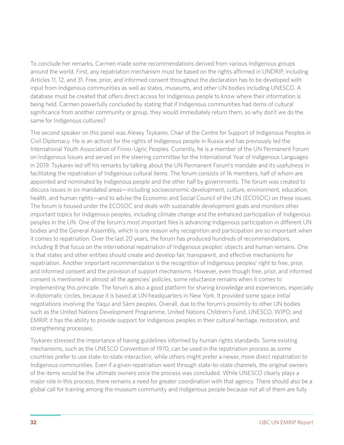To conclude her remarks, Carmen made some recommendations derived from various Indigenous groups around the world. First, any repatriation mechanism must be based on the rights affirmed in UNDRIP, including Articles 11, 12, and 31. Free, prior, and informed consent throughout the declaration has to be developed with input from Indigenous communities as well as states, museums, and other UN bodies including UNESCO. A database must be created that offers direct access for Indigenous people to know where their information is being held. Carmen powerfully concluded by stating that if Indigenous communities had items of cultural significance from another community or group, they would immediately return them, so why don't we do the same for Indigenous cultures?

The second speaker on this panel was Alexey Tsykarev, Chair of the Centre for Support of Indigenous Peoples in Civil Diplomacy. He is an activist for the rights of Indigenous people in Russia and has previously led the International Youth Association of Finno-Ugric Peoples. Currently, he is a member of the UN Permanent Forum on Indigenous Issues and served on the steering committee for the International Year of Indigenous Languages in 2019. Tsykarev led off his remarks by talking about the UN Permanent Forum's mandate and its usefulness in facilitating the repatriation of Indigenous cultural items. The forum consists of 16 members, half of whom are appointed and nominated by Indigenous people and the other half by governments. The forum was created to discuss issues in six mandated areas—including socioeconomic development, culture, environment, education, health, and human rights—and to advise the Economic and Social Council of the UN (ECOSOC) on these issues. The forum is housed under the ECOSOC and deals with sustainable development goals and monitors other important topics for Indigenous peoples, including climate change and the enhanced participation of Indigenous peoples in the UN. One of the forum's most important files is advancing Indigenous participation in different UN bodies and the General Assembly, which is one reason why recognition and participation are so important when it comes to repatriation. Over the last 20 years, the forum has produced hundreds of recommendations, including 8 that focus on the international repatriation of Indigenous peoples' objects and human remains. One is that states and other entities should create and develop fair, transparent, and effective mechanisms for repatriation. Another important recommendation is the recognition of Indigenous peoples' right to free, prior, and informed consent and the provision of support mechanisms. However, even though free, prior, and informed consent is mentioned in almost all the agencies' policies, some reluctance remains when it comes to implementing this principle. The forum is also a good platform for sharing knowledge and experiences, especially in diplomatic circles, because it is based at UN headquarters in New York. It provided some space initial negotiations involving the Yaqui and Sámi peoples. Overall, due to the forum's proximity to other UN bodies such as the United Nations Development Programme, United Nations Children's Fund, UNESCO, WIPO, and EMRIP, it has the ability to provide support for Indigenous peoples in their cultural heritage, restoration, and strengthening processes.

Tsykarev stressed the importance of having guidelines informed by human rights standards. Some existing mechanisms, such as the UNESCO Convention of 1970, can be used in the repatriation process as some countries prefer to use state-to-state interaction, while others might prefer a newer, more direct repatriation to Indigenous communities. Even if a given repatriation went through state-to-state channels, the original owners of the items would be the ultimate owners once the process was concluded. While UNESCO clearly plays a major role in this process, there remains a need for greater coordination with that agency. There should also be a global call for training among the museum community and Indigenous people because not all of them are fully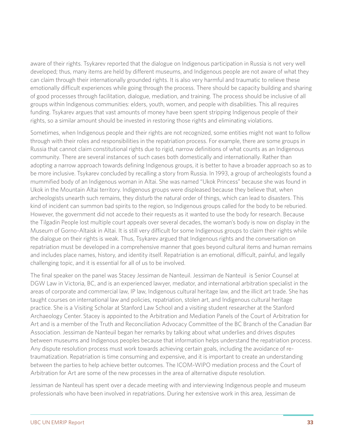aware of their rights. Tsykarev reported that the dialogue on Indigenous participation in Russia is not very well developed; thus, many items are held by different museums, and Indigenous people are not aware of what they can claim through their internationally grounded rights. It is also very harmful and traumatic to relieve these emotionally difficult experiences while going through the process. There should be capacity building and sharing of good processes through facilitation, dialogue, mediation, and training. The process should be inclusive of all groups within Indigenous communities: elders, youth, women, and people with disabilities. This all requires funding. Tsykarev argues that vast amounts of money have been spent stripping Indigenous people of their rights, so a similar amount should be invested in restoring those rights and eliminating violations.

Sometimes, when Indigenous people and their rights are not recognized, some entities might not want to follow through with their roles and responsibilities in the repatriation process. For example, there are some groups in Russia that cannot claim constitutional rights due to rigid, narrow definitions of what counts as an Indigenous community. There are several instances of such cases both domestically and internationally. Rather than adopting a narrow approach towards defining Indigenous groups, it is better to have a broader approach so as to be more inclusive. Tsykarev concluded by recalling a story from Russia. In 1993, a group of archeologists found a mummified body of an Indigenous woman in Altai. She was named "Ukok Princess" because she was found in Ukok in the Mountain Altai territory. Indigenous groups were displeased because they believe that, when archeologists unearth such remains, they disturb the natural order of things, which can lead to disasters. This kind of incident can summon bad spirits to the region, so Indigenous groups called for the body to be reburied. However, the government did not accede to their requests as it wanted to use the body for research. Because the Tilgadin People lost multiple court appeals over several decades, the woman's body is now on display in the Museum of Gorno-Altaisk in Altai. It is still very difficult for some Indigenous groups to claim their rights while the dialogue on their rights is weak. Thus, Tsykarev argued that Indigenous rights and the conversation on repatriation must be developed in a comprehensive manner that goes beyond cultural items and human remains and includes place names, history, and identity itself. Repatriation is an emotional, difficult, painful, and legally challenging topic, and it is essential for all of us to be involved.

The final speaker on the panel was Stacey Jessiman de Nanteuil. Jessiman de Nanteuil is Senior Counsel at DGW Law in Victoria, BC, and is an experienced lawyer, mediator, and international arbitration specialist in the areas of corporate and commercial law, IP law, Indigenous cultural heritage law, and the illicit art trade. She has taught courses on international law and policies, repatriation, stolen art, and Indigenous cultural heritage practice. She is a Visiting Scholar at Stanford Law School and a visiting student researcher at the Stanford Archaeology Center. Stacey is appointed to the Arbitration and Mediation Panels of the Court of Arbitration for Art and is a member of the Truth and Reconciliation Advocacy Committee of the BC Branch of the Canadian Bar Association. Jessiman de Nanteuil began her remarks by talking about what underlies and drives disputes between museums and Indigenous peoples because that information helps understand the repatriation process. Any dispute resolution process must work towards achieving certain goals, including the avoidance of retraumatization. Repatriation is time consuming and expensive, and it is important to create an understanding between the parties to help achieve better outcomes. The ICOM-WIPO mediation process and the Court of Arbitration for Art are some of the new processes in the area of alternative dispute resolution.

Jessiman de Nanteuil has spent over a decade meeting with and interviewing Indigenous people and museum professionals who have been involved in repatriations. During her extensive work in this area, Jessiman de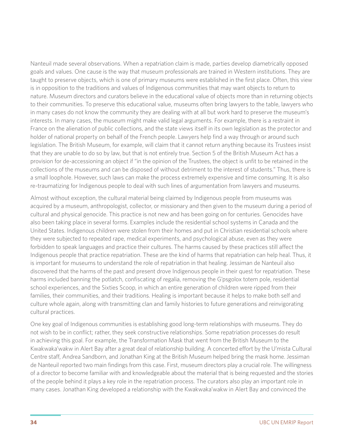Nanteuil made several observations. When a repatriation claim is made, parties develop diametrically opposed goals and values. One cause is the way that museum professionals are trained in Western institutions. They are taught to preserve objects, which is one of primary museums were established in the first place. Often, this view is in opposition to the traditions and values of Indigenous communities that may want objects to return to nature. Museum directors and curators believe in the educational value of objects more than in returning objects to their communities. To preserve this educational value, museums often bring lawyers to the table, lawyers who in many cases do not know the community they are dealing with at all but work hard to preserve the museum's interests. In many cases, the museum might make valid legal arguments. For example, there is a restraint in France on the alienation of public collections, and the state views itself in its own legislation as the protector and holder of national property on behalf of the French people. Lawyers help find a way through or around such legislation. The British Museum, for example, will claim that it cannot return anything because its Trustees insist that they are unable to do so by law, but that is not entirely true. Section 5 of the British Museum Act has a provision for de-accessioning an object if "in the opinion of the Trustees, the object is unfit to be retained in the collections of the museums and can be disposed of without detriment to the interest of students." Thus, there is a small loophole. However, such laws can make the process extremely expensive and time consuming. It is also re-traumatizing for Indigenous people to deal with such lines of argumentation from lawyers and museums.

Almost without exception, the cultural material being claimed by Indigenous people from museums was acquired by a museum, anthropologist, collector, or missionary and then given to the museum during a period of cultural and physical genocide. This practice is not new and has been going on for centuries. Genocides have also been taking place in several forms. Examples include the residential school systems in Canada and the United States. Indigenous children were stolen from their homes and put in Christian residential schools where they were subjected to repeated rape, medical experiments, and psychological abuse, even as they were forbidden to speak languages and practice their cultures. The harms caused by these practices still affect the Indigenous people that practice repatriation. These are the kind of harms that repatriation can help heal. Thus, it is important for museums to understand the role of repatriation in that healing. Jessiman de Nanteuil also discovered that the harms of the past and present drove Indigenous people in their quest for repatriation. These harms included banning the potlatch, confiscating of regalia, removing the G'psgolox totem pole, residential school experiences, and the Sixties Scoop, in which an entire generation of children were ripped from their families, their communities, and their traditions. Healing is important because it helps to make both self and culture whole again, along with transmitting clan and family histories to future generations and reinvigorating cultural practices.

One key goal of Indigenous communities is establishing good long-term relationships with museums. They do not wish to be in conflict; rather, they seek constructive relationships. Some repatriation processes do result in achieving this goal. For example, the Transformation Mask that went from the British Museum to the Kwakwaka'wakw in Alert Bay after a great deal of relationship building. A concerted effort by the U'mista Cultural Centre staff, Andrea Sandborn, and Jonathan King at the British Museum helped bring the mask home. Jessiman de Nanteuil reported two main findings from this case. First, museum directors play a crucial role. The willingness of a director to become familiar with and knowledgeable about the material that is being requested and the stories of the people behind it plays a key role in the repatriation process. The curators also play an important role in many cases. Jonathan King developed a relationship with the Kwakwaka'wakw in Alert Bay and convinced the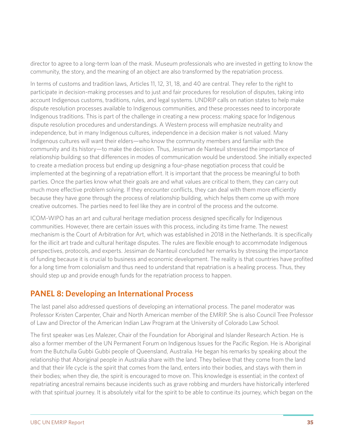director to agree to a long-term loan of the mask. Museum professionals who are invested in getting to know the community, the story, and the meaning of an object are also transformed by the repatriation process.

In terms of customs and tradition laws, Articles 11, 12, 31, 18, and 40 are central. They refer to the right to participate in decision-making processes and to just and fair procedures for resolution of disputes, taking into account Indigenous customs, traditions, rules, and legal systems. UNDRIP calls on nation states to help make dispute resolution processes available to Indigenous communities, and these processes need to incorporate Indigenous traditions. This is part of the challenge in creating a new process: making space for Indigenous dispute resolution procedures and understandings. A Western process will emphasize neutrality and independence, but in many Indigenous cultures, independence in a decision maker is not valued. Many Indigenous cultures will want their elders—who know the community members and familiar with the community and its history—to make the decision. Thus, Jessiman de Nanteuil stressed the importance of relationship building so that differences in modes of communication would be understood. She initially expected to create a mediation process but ending up designing a four-phase negotiation process that could be implemented at the beginning of a repatriation effort. It is important that the process be meaningful to both parties. Once the parties know what their goals are and what values are critical to them, they can carry out much more effective problem solving. If they encounter conflicts, they can deal with them more efficiently because they have gone through the process of relationship building, which helps them come up with more creative outcomes. The parties need to feel like they are in control of the process and the outcome.

ICOM-WIPO has an art and cultural heritage mediation process designed specifically for Indigenous communities. However, there are certain issues with this process, including its time frame. The newest mechanism is the Court of Arbitration for Art, which was established in 2018 in the Netherlands. It is specifically for the illicit art trade and cultural heritage disputes. The rules are flexible enough to accommodate Indigenous perspectives, protocols, and experts. Jessiman de Nanteuil concluded her remarks by stressing the importance of funding because it is crucial to business and economic development. The reality is that countries have profited for a long time from colonialism and thus need to understand that repatriation is a healing process. Thus, they should step up and provide enough funds for the repatriation process to happen.

# **PANEL 8: Developing an International Process**

The last panel also addressed questions of developing an international process. The panel moderator was Professor Kristen Carpenter, Chair and North American member of the EMRIP. She is also Council Tree Professor of Law and Director of the American Indian Law Program at the University of Colorado Law School.

The first speaker was Les Malezer, Chair of the Foundation for Aboriginal and Islander Research Action. He is also a former member of the UN Permanent Forum on Indigenous Issues for the Pacific Region. He is Aboriginal from the Butchulla Gubbi Gubbi people of Queensland, Australia. He began his remarks by speaking about the relationship that Aboriginal people in Australia share with the land. They believe that they come from the land and that their life cycle is the spirit that comes from the land, enters into their bodies, and stays with them in their bodies; when they die, the spirit is encouraged to move on. This knowledge is essential; in the context of repatriating ancestral remains because incidents such as grave robbing and murders have historically interfered with that spiritual journey. It is absolutely vital for the spirit to be able to continue its journey, which began on the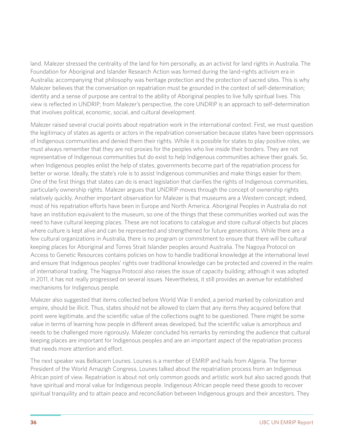land. Malezer stressed the centrality of the land for him personally, as an activist for land rights in Australia. The Foundation for Aboriginal and Islander Research Action was formed during the land-rights activism era in Australia; accompanying that philosophy was heritage protection and the protection of sacred sites. This is why Malezer believes that the conversation on repatriation must be grounded in the context of self-determination; identity and a sense of purpose are central to the ability of Aboriginal peoples to live fully spiritual lives. This view is reflected in UNDRIP; from Malezer's perspective, the core UNDRIP is an approach to self-determination that involves political, economic, social, and cultural development.

Malezer raised several crucial points about repatriation work in the international context. First, we must question the legitimacy of states as agents or actors in the repatriation conversation because states have been oppressors of Indigenous communities and denied them their rights. While it is possible for states to play positive roles, we must always remember that they are not proxies for the peoples who live inside their borders. They are not representative of Indigenous communities but do exist to help Indigenous communities achieve their goals. So, when Indigenous peoples enlist the help of states, governments become part of the repatriation process for better or worse. Ideally, the state's role is to assist Indigenous communities and make things easier for them. One of the first things that states can do is enact legislation that clarifies the rights of Indigenous communities, particularly ownership rights. Malezer argues that UNDRIP moves through the concept of ownership rights relatively quickly. Another important observation for Malezer is that museums are a Western concept; indeed, most of his repatriation efforts have been in Europe and North America. Aboriginal Peoples in Australia do not have an institution equivalent to the museum, so one of the things that these communities worked out was the need to have cultural keeping places. These are not locations to catalogue and store cultural objects but places where culture is kept alive and can be represented and strengthened for future generations. While there are a few cultural organizations in Australia, there is no program or commitment to ensure that there will be cultural keeping places for Aboriginal and Torres Strait Islander peoples around Australia. The Nagoya Protocol on Access to Genetic Resources contains policies on how to handle traditional knowledge at the international level and ensure that Indigenous peoples' rights over traditional knowledge can be protected and covered in the realm of international trading. The Nagoya Protocol also raises the issue of capacity building; although it was adopted in 2011, it has not really progressed on several issues. Nevertheless, it still provides an avenue for established mechanisms for Indigenous people.

Malezer also suggested that items collected before World War II ended, a period marked by colonization and empire, should be illicit. Thus, states should not be allowed to claim that any items they acquired before that point were legitimate, and the scientific value of the collections ought to be questioned. There might be some value in terms of learning how people in different areas developed, but the scientific value is amorphous and needs to be challenged more rigorously. Malezer concluded his remarks by reminding the audience that cultural keeping places are important for Indigenous peoples and are an important aspect of the repatriation process that needs more attention and effort.

The next speaker was Belkacem Lounes. Lounes is a member of EMRIP and hails from Algeria. The former President of the World Amazigh Congress, Lounes talked about the repatriation process from an Indigenous African point of view. Repatriation is about not only common goods and artistic work but also sacred goods that have spiritual and moral value for Indigenous people. Indigenous African people need these goods to recover spiritual tranquility and to attain peace and reconciliation between Indigenous groups and their ancestors. They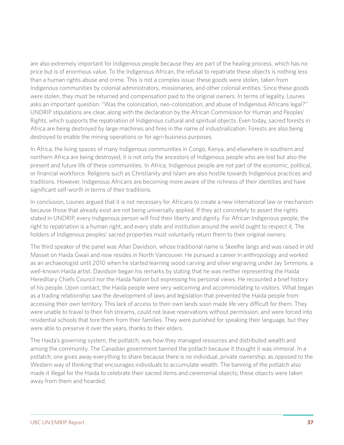are also extremely important for Indigenous people because they are part of the healing process, which has no price but is of enormous value. To the Indigenous African, the refusal to repatriate these objects is nothing less than a human rights abuse and crime. This is not a complex issue: these goods were stolen, taken from Indigenous communities by colonial administrators, missionaries, and other colonial entities. Since these goods were stolen, they must be returned and compensation paid to the original owners. In terms of legality, Lounes asks an important question: "Was the colonization, neo-colonization, and abuse of Indigenous Africans legal?" UNDRIP stipulations are clear, along with the declaration by the African Commission for Human and Peoples' Rights, which supports the repatriation of Indigenous cultural and spiritual objects. Even today, sacred forests in Africa are being destroyed by large machines and fires in the name of industrialization. Forests are also being destroyed to enable the mining operations or for agri-business purposes.

In Africa, the living spaces of many Indigenous communities in Congo, Kenya, and elsewhere in southern and northern Africa are being destroyed; it is not only the ancestors of Indigenous people who are lost but also the present and future life of these communities. In Africa, Indigenous people are not part of the economic, political, or financial workforce. Religions such as Christianity and Islam are also hostile towards Indigenous practices and traditions. However, Indigenous Africans are becoming more aware of the richness of their identities and have significant self-worth in terms of their traditions.

In conclusion, Lounes argued that it is not necessary for Africans to create a new international law or mechanism because those that already exist are not being universally applied. If they act concretely to assert the rights stated in UNDRIP, every Indigenous person will find their liberty and dignity. For African Indigenous people, the right to repatriation is a human right, and every state and institution around the world ought to respect it. The holders of Indigenous peoples' sacred properties must voluntarily return them to their original owners.

The third speaker of the panel was Allan Davidson, whose traditional name is Skeelhe langs and was raised in old Masset on Haida Gwaii and now resides in North Vancouver. He pursued a career in anthropology and worked as an archaeologist until 2010 when he started learning wood carving and silver engraving under Jay Simmons, a well-known Haida artist. Davidson began his remarks by stating that he was neither representing the Haida Hereditary Chiefs Council nor the Haida Nation but expressing his personal views. He recounted a brief history of his people. Upon contact, the Haida people were very welcoming and accommodating to visitors. What began as a trading relationship saw the development of laws and legislation that prevented the Haida people from accessing their own territory. This lack of access to their own lands soon made life very difficult for them. They were unable to travel to their fish streams, could not leave reservations without permission, and were forced into residential schools that tore them from their families. They were punished for speaking their language, but they were able to preserve it over the years, thanks to their elders.

The Haida's governing system, the potlatch, was how they managed resources and distributed wealth and among the community. The Canadian government banned the potlach because it thought it was immoral. In a potlatch, one gives away everything to share because there is no individual, private ownership, as opposed to the Western way of thinking that encourages individuals to accumulate wealth. The banning of the potlatch also made it illegal for the Haida to celebrate their sacred items and ceremonial objects; these objects were taken away from them and hoarded.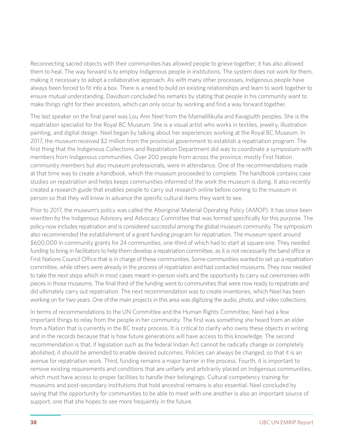Reconnecting sacred objects with their communities has allowed people to grieve together; it has also allowed them to heal. The way forward is to employ Indigenous people in institutions. The system does not work for them, making it necessary to adopt a collaborative approach. As with many other processes, Indigenous people have always been forced to fit into a box. There is a need to build on existing relationships and learn to work together to ensure mutual understanding. Davidson concluded his remarks by stating that people in his community want to make things right for their ancestors, which can only occur by working and find a way forward together.

The last speaker on the final panel was Lou Ann Neel from the Mamalillikulla and Kwagiulth peoples. She is the repatriation specialist for the Royal BC Museum. She is a visual artist who works in textiles, jewelry, illustration painting, and digital design. Neel began by talking about her experiences working at the Royal BC Museum. In 2017, the museum received \$2 million from the provincial government to establish a repatriation program. The first thing that the Indigenous Collections and Repatriation Department did was to coordinate a symposium with members from Indigenous communities. Over 200 people from across the province, mostly First Nation community members but also museum professionals, were in attendance. One of the recommendations made at that time was to create a handbook, which the museum proceeded to complete. The handbook contains case studies on repatriation and helps keeps communities informed of the work the museum is doing. It also recently created a research guide that enables people to carry out research online before coming to the museum in person so that they will know in advance the specific cultural items they want to see.

Prior to 2017, the museum's policy was called the Aboriginal Material Operating Policy (AMOP). It has since been rewritten by the Indigenous Advisory and Advocacy Committee that was formed specifically for this purpose. The policy now includes repatriation and is considered successful among the global museum community. The symposium also recommended the establishment of a grant funding program for repatriation. The museum spent around \$600,000 in community grants for 24 communities, one-third of which had to start at square one. They needed funding to bring in facilitators to help them develop a repatriation committee, as it is not necessarily the band office or First Nations Council Office that is in charge of these communities. Some communities wanted to set up a repatriation committee, while others were already in the process of repatriation and had contacted museums. They now needed to take the next steps which in most cases meant in-person visits and the opportunity to carry out ceremonies with pieces in those museums. The final third of the funding went to communities that were now ready to repatriate and did ultimately carry out repatriation. The next recommendation was to create inventories, which Neel has been working on for two years. One of the main projects in this area was digitizing the audio, photo, and video collections.

In terms of recommendations to the UN Committee and the Human Rights Committee, Neel had a few important things to relay from the people in her community. The first was something she heard from an elder from a Nation that is currently in the BC treaty process. It is critical to clarify who owns these objects in writing and in the records because that is how future generations will have access to this knowledge. The second recommendation is that, if legislation such as the federal Indian Act cannot be radically change or completely abolished, it should be amended to enable desired outcomes. Policies can always be changed, so that it is an avenue for repatriation work. Third, funding remains a major barrier in the process. Fourth, it is important to remove existing requirements and conditions that are unfairly and arbitrarily placed on Indigenous communities, which must have access to proper facilities to handle their belongings. Cultural competency training for museums and post-secondary institutions that hold ancestral remains is also essential. Neel concluded by saying that the opportunity for communities to be able to meet with one another is also an important source of support, one that she hopes to see more frequently in the future.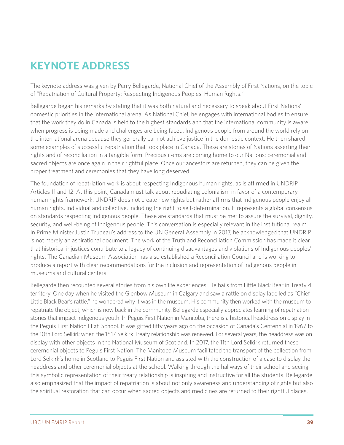# **KEYNOTE ADDRESS**

The keynote address was given by Perry Bellegarde, National Chief of the Assembly of First Nations, on the topic of "Repatriation of Cultural Property: Respecting Indigenous Peoples' Human Rights."

Bellegarde began his remarks by stating that it was both natural and necessary to speak about First Nations' domestic priorities in the international arena. As National Chief, he engages with international bodies to ensure that the work they do in Canada is held to the highest standards and that the international community is aware when progress is being made and challenges are being faced. Indigenous people from around the world rely on the international arena because they generally cannot achieve justice in the domestic context. He then shared some examples of successful repatriation that took place in Canada. These are stories of Nations asserting their rights and of reconciliation in a tangible form. Precious items are coming home to our Nations; ceremonial and sacred objects are once again in their rightful place. Once our ancestors are returned, they can be given the proper treatment and ceremonies that they have long deserved.

The foundation of repatriation work is about respecting Indigenous human rights, as is affirmed in UNDRIP Articles 11 and 12. At this point, Canada must talk about repudiating colonialism in favor of a contemporary human rights framework. UNDRIP does not create new rights but rather affirms that Indigenous people enjoy all human rights, individual and collective, including the right to self-determination. It represents a global consensus on standards respecting Indigenous people. These are standards that must be met to assure the survival, dignity, security, and well-being of Indigenous people. This conversation is especially relevant in the institutional realm. In Prime Minister Justin Trudeau's address to the UN General Assembly in 2017, he acknowledged that UNDRIP is not merely an aspirational document. The work of the Truth and Reconciliation Commission has made it clear that historical injustices contribute to a legacy of continuing disadvantages and violations of Indigenous peoples' rights. The Canadian Museum Association has also established a Reconciliation Council and is working to produce a report with clear recommendations for the inclusion and representation of Indigenous people in museums and cultural centers.

Bellegarde then recounted several stories from his own life experiences. He hails from Little Black Bear in Treaty 4 territory. One day when he visited the Glenbow Museum in Calgary and saw a rattle on display labelled as "Chief Little Black Bear's rattle," he wondered why it was in the museum. His community then worked with the museum to repatriate the object, which is now back in the community. Bellegarde especially appreciates learning of repatriation stories that impact Indigenous youth. In Peguis First Nation in Manitoba, there is a historical headdress on display in the Peguis First Nation High School. It was gifted fifty years ago on the occasion of Canada's Centennial in 1967 to the 10th Lord Selkirk when the 1817 Selkirk Treaty relationship was renewed. For several years, the headdress was on display with other objects in the National Museum of Scotland. In 2017, the 11th Lord Selkirk returned these ceremonial objects to Peguis First Nation. The Manitoba Museum facilitated the transport of the collection from Lord Selkirk's home in Scotland to Peguis First Nation and assisted with the construction of a case to display the headdress and other ceremonial objects at the school. Walking through the hallways of their school and seeing this symbolic representation of their treaty relationship is inspiring and instructive for all the students. Bellegarde also emphasized that the impact of repatriation is about not only awareness and understanding of rights but also the spiritual restoration that can occur when sacred objects and medicines are returned to their rightful places.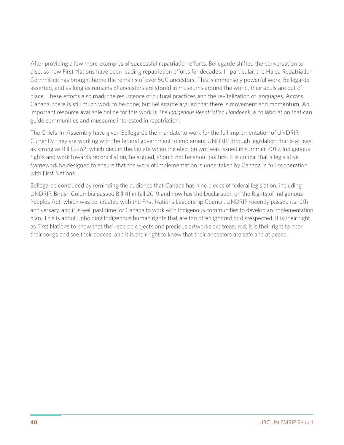After providing a few more examples of successful repatriation efforts, Bellegarde shifted the conversation to discuss how First Nations have been leading repatriation efforts for decades. In particular, the Haida Repatriation Committee has brought home the remains of over 500 ancestors. This is immensely powerful work, Bellegarde asserted, and as long as remains of ancestors are stored in museums around the world, their souls are out of place. These efforts also mark the resurgence of cultural practices and the revitalization of languages. Across Canada, there is still much work to be done, but Bellegarde argued that there is movement and momentum. An important resource available online for this work is *The Indigenous Repatriation Handbook*, a collaboration that can guide communities and museums interested in repatriation.

The Chiefs-in-Assembly have given Bellegarde the mandate to work for the full implementation of UNDRIP. Currently, they are working with the federal government to implement UNDRIP through legislation that is at least as strong as Bill C-262, which died in the Senate when the election writ was issued in summer 2019. Indigenous rights and work towards reconciliation, he argued, should not be about politics. It is critical that a legislative framework be designed to ensure that the work of implementation is undertaken by Canada in full cooperation with First Nations.

Bellegarde concluded by reminding the audience that Canada has nine pieces of federal legislation, including UNDRIP. British Columbia passed Bill 41 in fall 2019 and now has the Declaration on the Rights of Indigenous Peoples Act, which was co-created with the First Nations Leadership Council. UNDRIP recently passed its 12th anniversary, and it is well past time for Canada to work with Indigenous communities to develop an implementation plan. This is about upholding Indigenous human rights that are too often ignored or disrespected. It is their right as First Nations to know that their sacred objects and precious artworks are treasured, it is their right to hear their songs and see their dances, and it is their right to know that their ancestors are safe and at peace.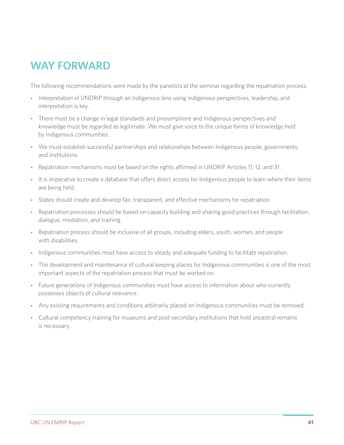# **WAY FORWARD**

The following recommendations were made by the panelists at the seminar regarding the repatriation process:

- Interpretation of UNDRIP through an Indigenous lens using Indigenous perspectives, leadership, and interpretation is key.
- There must be a change in legal standards and presumptions and Indigenous perspectives and knowledge must be regarded as legitimate. We must give voice to the unique forms of knowledge held by Indigenous communities.
- We must establish successful partnerships and relationships between Indigenous people, governments, and institutions.
- Repatriation mechanisms must be based on the rights affirmed in UNDRIP Articles 11, 12, and 31.
- It is imperative to create a database that offers direct access for Indigenous people to learn where their items are being held.
- States should create and develop fair, transparent, and effective mechanisms for repatriation.
- Repatriation processes should be based on capacity building and sharing good practices through facilitation, dialogue, mediation, and training.
- Repatriation process should be inclusive of all groups, including elders, youth, women, and people with disabilities.
- Indigenous communities must have access to steady and adequate funding to facilitate repatriation.
- The development and maintenance of cultural keeping places for Indigenous communities is one of the most important aspects of the repatriation process that must be worked on.
- Future generations of Indigenous communities must have access to information about who currently possesses objects of cultural relevance.
- Any existing requirements and conditions arbitrarily placed on Indigenous communities must be removed.
- Cultural competency training for museums and post-secondary institutions that hold ancestral remains is necessary.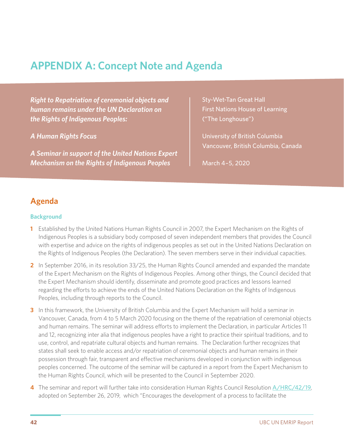# **APPENDIX A: Concept Note and Agenda**

*Right to Repatriation of ceremonial objects and human remains under the UN Declaration on the Rights of Indigenous Peoples:* 

*A Human Rights Focus*

*A Seminar in support of the United Nations Expert Mechanism on the Rights of Indigenous Peoples*

Sty-Wet-Tan Great Hall First Nations House of Learning ("The Longhouse")

University of British Columbia Vancouver, British Columbia, Canada

March 4–5, 2020

## **Agenda**

### **Background**

- **1** Established by the United Nations Human Rights Council in 2007, the Expert Mechanism on the Rights of Indigenous Peoples is a subsidiary body composed of seven independent members that provides the Council with expertise and advice on the rights of indigenous peoples as set out in the United Nations Declaration on the Rights of Indigenous Peoples (the Declaration). The seven members serve in their individual capacities.
- **2** In September 2016, in its resolution 33/25, the Human Rights Council amended and expanded the mandate of the Expert Mechanism on the Rights of Indigenous Peoples. Among other things, the Council decided that the Expert Mechanism should identify, disseminate and promote good practices and lessons learned regarding the efforts to achieve the ends of the United Nations Declaration on the Rights of Indigenous Peoples, including through reports to the Council.
- **3** In this framework, the University of British Columbia and the Expert Mechanism will hold a seminar in Vancouver, Canada, from 4 to 5 March 2020 focusing on the theme of the repatriation of ceremonial objects and human remains. The seminar will address efforts to implement the Declaration, in particular Articles 11 and 12, recognizing inter alia that indigenous peoples have a right to practice their spiritual traditions, and to use, control, and repatriate cultural objects and human remains. The Declaration further recognizes that states shall seek to enable access and/or repatriation of ceremonial objects and human remains in their possession through fair, transparent and effective mechanisms developed in conjunction with indigenous peoples concerned. The outcome of the seminar will be captured in a report from the Expert Mechanism to the Human Rights Council, which will be presented to the Council in September 2020.
- **4** The seminar and report will further take into consideration Human Rights Council Resolution A/HRC/42/19, adopted on September 26, 2019, which "Encourages the development of a process to facilitate the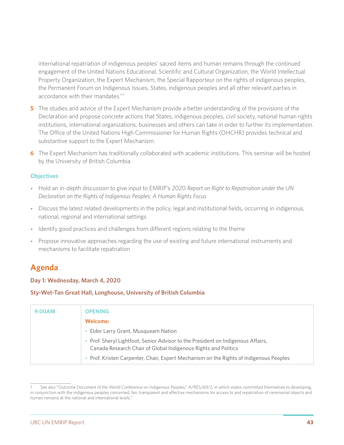international repatriation of indigenous peoples' sacred items and human remains through the continued engagement of the United Nations Educational, Scientific and Cultural Organization, the World Intellectual Property Organization, the Expert Mechanism, the Special Rapporteur on the rights of indigenous peoples, the Permanent Forum on Indigenous Issues, States, indigenous peoples and all other relevant parties in accordance with their mandates."1

- **5** The studies and advice of the Expert Mechanism provide a better understanding of the provisions of the Declaration and propose concrete actions that States, indigenous peoples, civil society, national human rights institutions, international organizations, businesses and others can take in order to further its implementation. The Office of the United Nations High Commissioner for Human Rights (OHCHR) provides technical and substantive support to the Expert Mechanism.
- **6** The Expert Mechanism has traditionally collaborated with academic institutions. This seminar will be hosted by the University of British Columbia.

### **Objectives**

- Hold an in-depth discussion to give input to EMRIP's 2020 *Report on Right to Repatriation under the UN Declaration on the Rights of Indigenous Peoples: A Human Rights Focus*
- Discuss the latest related developments in the policy, legal and institutional fields, occurring in indigenous, national, regional and international settings
- Identify good practices and challenges from different regions relating to the theme
- Propose innovative approaches regarding the use of existing and future international instruments and mechanisms to facilitate repatriation

## **Agenda**

**Day 1: Wednesday, March 4, 2020**

**Sty-Wet-Tan Great Hall, Longhouse, University of British Columbia**

| 9:00AM | <b>OPENING</b>                                                                                                                                   |
|--------|--------------------------------------------------------------------------------------------------------------------------------------------------|
|        | <b>Welcome:</b>                                                                                                                                  |
|        | Elder Larry Grant, Musqueam Nation                                                                                                               |
|        | Prof. Sheryl Lightfoot, Senior Advisor to the President on Indigenous Affairs,<br>Canada Research Chair of Global Indigenous Rights and Politics |
|        | Prof. Kristen Carpenter, Chair, Expert Mechanism on the Rights of Indigenous Peoples                                                             |

See also "Outcome Document of the World Conference on Indigenous Peoples," A/RES/69/2, in which states committed themselves to developing, in conjunction with the indigenous peoples concerned, fair, transparent and effective mechanisms for access to and repatriation of ceremonial objects and human remains at the national and international levels."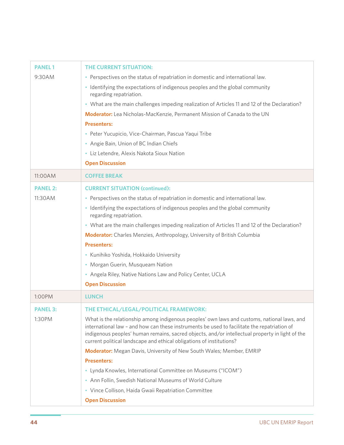| <b>PANEL1</b>   | <b>THE CURRENT SITUATION:</b>                                                                                                                                                                                                                                                                                                                                         |
|-----------------|-----------------------------------------------------------------------------------------------------------------------------------------------------------------------------------------------------------------------------------------------------------------------------------------------------------------------------------------------------------------------|
| 9:30AM          | • Perspectives on the status of repatriation in domestic and international law.                                                                                                                                                                                                                                                                                       |
|                 | • Identifying the expectations of indigenous peoples and the global community<br>regarding repatriation.                                                                                                                                                                                                                                                              |
|                 | • What are the main challenges impeding realization of Articles 11 and 12 of the Declaration?                                                                                                                                                                                                                                                                         |
|                 | Moderator: Lea Nicholas-MacKenzie, Permanent Mission of Canada to the UN                                                                                                                                                                                                                                                                                              |
|                 | <b>Presenters:</b>                                                                                                                                                                                                                                                                                                                                                    |
|                 | · Peter Yucupicio, Vice-Chairman, Pascua Yaqui Tribe                                                                                                                                                                                                                                                                                                                  |
|                 | • Angie Bain, Union of BC Indian Chiefs                                                                                                                                                                                                                                                                                                                               |
|                 | · Liz Letendre, Alexis Nakota Sioux Nation                                                                                                                                                                                                                                                                                                                            |
|                 | <b>Open Discussion</b>                                                                                                                                                                                                                                                                                                                                                |
| 11:00AM         | <b>COFFEE BREAK</b>                                                                                                                                                                                                                                                                                                                                                   |
| <b>PANEL 2:</b> | <b>CURRENT SITUATION (continued):</b>                                                                                                                                                                                                                                                                                                                                 |
| 11:30AM         | • Perspectives on the status of repatriation in domestic and international law.                                                                                                                                                                                                                                                                                       |
|                 | • Identifying the expectations of indigenous peoples and the global community<br>regarding repatriation.                                                                                                                                                                                                                                                              |
|                 | • What are the main challenges impeding realization of Articles 11 and 12 of the Declaration?                                                                                                                                                                                                                                                                         |
|                 | Moderator: Charles Menzies, Anthropology, University of British Columbia                                                                                                                                                                                                                                                                                              |
|                 | <b>Presenters:</b>                                                                                                                                                                                                                                                                                                                                                    |
|                 | · Kunihiko Yoshida, Hokkaido University                                                                                                                                                                                                                                                                                                                               |
|                 | • Morgan Guerin, Musqueam Nation                                                                                                                                                                                                                                                                                                                                      |
|                 | • Angela Riley, Native Nations Law and Policy Center, UCLA                                                                                                                                                                                                                                                                                                            |
|                 | <b>Open Discussion</b>                                                                                                                                                                                                                                                                                                                                                |
| 1:00PM          | <b>LUNCH</b>                                                                                                                                                                                                                                                                                                                                                          |
| <b>PANEL 3:</b> | THE ETHICAL/LEGAL/POLITICAL FRAMEWORK:                                                                                                                                                                                                                                                                                                                                |
| 1:30PM          | What is the relationship among indigenous peoples' own laws and customs, national laws, and<br>international law - and how can these instruments be used to facilitate the repatriation of<br>indigenous peoples' human remains, sacred objects, and/or intellectual property in light of the<br>current political landscape and ethical obligations of institutions? |
|                 | Moderator: Megan Davis, University of New South Wales; Member, EMRIP                                                                                                                                                                                                                                                                                                  |
|                 | <b>Presenters:</b>                                                                                                                                                                                                                                                                                                                                                    |
|                 | • Lynda Knowles, International Committee on Museums ("ICOM")                                                                                                                                                                                                                                                                                                          |
|                 | • Ann Follin, Swedish National Museums of World Culture                                                                                                                                                                                                                                                                                                               |
|                 | • Vince Collison, Haida Gwaii Repatriation Committee                                                                                                                                                                                                                                                                                                                  |
|                 | <b>Open Discussion</b>                                                                                                                                                                                                                                                                                                                                                |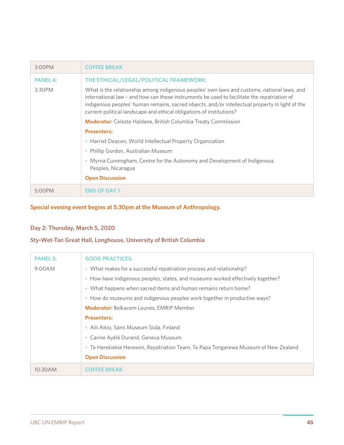| $3:00$ PM       | <b>COFFEE BREAK</b>                                                                                                                                                                                                                                                                                                                                                   |
|-----------------|-----------------------------------------------------------------------------------------------------------------------------------------------------------------------------------------------------------------------------------------------------------------------------------------------------------------------------------------------------------------------|
| <b>PANEL 4:</b> | THE ETHICAL/LEGAL/POLITICAL FRAMEWORK:                                                                                                                                                                                                                                                                                                                                |
| 3:30PM          | What is the relationship among indigenous peoples' own laws and customs, national laws, and<br>international law - and how can these instruments be used to facilitate the repatriation of<br>indigenous peoples' human remains, sacred objects, and/or intellectual property in light of the<br>current political landscape and ethical obligations of institutions? |
|                 | <b>Moderator:</b> Celeste Haldane, British Columbia Treaty Commission                                                                                                                                                                                                                                                                                                 |
|                 | <b>Presenters:</b>                                                                                                                                                                                                                                                                                                                                                    |
|                 | • Harriet Deacon, World Intellectual Property Organization                                                                                                                                                                                                                                                                                                            |
|                 | Phillip Gordon, Australian Museum                                                                                                                                                                                                                                                                                                                                     |
|                 | • Myrna Cunningham, Centre for the Autonomy and Development of Indigenous<br>Peoples, Nicaragua                                                                                                                                                                                                                                                                       |
|                 | <b>Open Discussion</b>                                                                                                                                                                                                                                                                                                                                                |
| 5:00PM          | <b>END OF DAY 1</b>                                                                                                                                                                                                                                                                                                                                                   |

### **Special evening event begins at 5:30pm at the Museum of Anthropology.**

## **Day 2: Thursday, March 5, 2020**

## **Sty-Wet-Tan Great Hall, Longhouse, University of British Columbia**

| <b>PANEL 5:</b> | <b>GOOD PRACTICES:</b>                                                               |
|-----------------|--------------------------------------------------------------------------------------|
| 9:00AM          | • What makes for a successful repatriation process and relationship?                 |
|                 | • How have indigenous peoples, states, and museums worked effectively together?      |
|                 | • What happens when sacred items and human remains return home?                      |
|                 | • How do museums and indigenous peoples work together in productive ways?            |
|                 | <b>Moderator:</b> Belkacem Lounes, EMRIP Member                                      |
|                 | <b>Presenters:</b>                                                                   |
|                 | • Aili Aikio, Sámi Museum Siida, Finland                                             |
|                 | • Carine Ayélé Durand, Geneva Museum                                                 |
|                 | • Te Herekiekie Herewini, Repatriation Team, Te Papa Tongarewa Museum of New Zealand |
|                 | <b>Open Discussion</b>                                                               |
| 10:30AM         | COFFFF RRFAK                                                                         |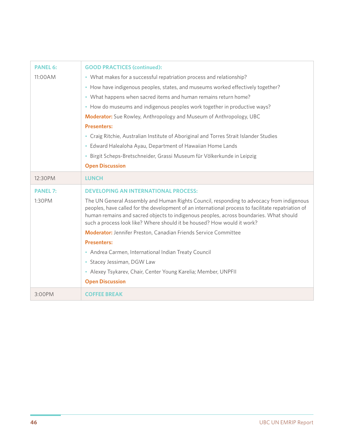| <b>PANEL 6:</b> | <b>GOOD PRACTICES (continued):</b>                                                                                                                                                                                                                                                                                                                                  |  |
|-----------------|---------------------------------------------------------------------------------------------------------------------------------------------------------------------------------------------------------------------------------------------------------------------------------------------------------------------------------------------------------------------|--|
| 11:00AM         | • What makes for a successful repatriation process and relationship?                                                                                                                                                                                                                                                                                                |  |
|                 | • How have indigenous peoples, states, and museums worked effectively together?                                                                                                                                                                                                                                                                                     |  |
|                 | • What happens when sacred items and human remains return home?                                                                                                                                                                                                                                                                                                     |  |
|                 | • How do museums and indigenous peoples work together in productive ways?                                                                                                                                                                                                                                                                                           |  |
|                 | Moderator: Sue Rowley, Anthropology and Museum of Anthropology, UBC                                                                                                                                                                                                                                                                                                 |  |
|                 | <b>Presenters:</b>                                                                                                                                                                                                                                                                                                                                                  |  |
|                 | • Craig Ritchie, Australian Institute of Aboriginal and Torres Strait Islander Studies                                                                                                                                                                                                                                                                              |  |
|                 | • Edward Halealoha Ayau, Department of Hawaiian Home Lands                                                                                                                                                                                                                                                                                                          |  |
|                 | · Birgit Scheps-Bretschneider, Grassi Museum für Völkerkunde in Leipzig                                                                                                                                                                                                                                                                                             |  |
|                 | <b>Open Discussion</b>                                                                                                                                                                                                                                                                                                                                              |  |
| 12:30PM         | <b>LUNCH</b>                                                                                                                                                                                                                                                                                                                                                        |  |
|                 |                                                                                                                                                                                                                                                                                                                                                                     |  |
| <b>PANEL 7:</b> | <b>DEVELOPING AN INTERNATIONAL PROCESS:</b>                                                                                                                                                                                                                                                                                                                         |  |
| 1:30PM          | The UN General Assembly and Human Rights Council, responding to advocacy from indigenous<br>peoples, have called for the development of an international process to facilitate repatriation of<br>human remains and sacred objects to indigenous peoples, across boundaries. What should<br>such a process look like? Where should it be housed? How would it work? |  |
|                 | <b>Moderator:</b> Jennifer Preston, Canadian Friends Service Committee                                                                                                                                                                                                                                                                                              |  |
|                 | <b>Presenters:</b>                                                                                                                                                                                                                                                                                                                                                  |  |
|                 | • Andrea Carmen, International Indian Treaty Council                                                                                                                                                                                                                                                                                                                |  |
|                 | • Stacey Jessiman, DGW Law                                                                                                                                                                                                                                                                                                                                          |  |
|                 | • Alexey Tsykarev, Chair, Center Young Karelia; Member, UNPFII                                                                                                                                                                                                                                                                                                      |  |
|                 | <b>Open Discussion</b>                                                                                                                                                                                                                                                                                                                                              |  |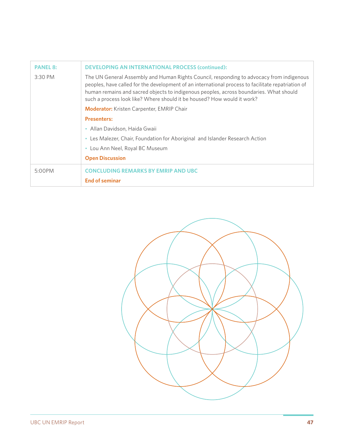| <b>PANEL 8:</b> | <b>DEVELOPING AN INTERNATIONAL PROCESS (continued):</b>                                                                                                                                                                                                                                                                                                             |  |
|-----------------|---------------------------------------------------------------------------------------------------------------------------------------------------------------------------------------------------------------------------------------------------------------------------------------------------------------------------------------------------------------------|--|
| 3:30 PM         | The UN General Assembly and Human Rights Council, responding to advocacy from indigenous<br>peoples, have called for the development of an international process to facilitate repatriation of<br>human remains and sacred objects to indigenous peoples, across boundaries. What should<br>such a process look like? Where should it be housed? How would it work? |  |
|                 | <b>Moderator:</b> Kristen Carpenter, EMRIP Chair                                                                                                                                                                                                                                                                                                                    |  |
|                 | <b>Presenters:</b>                                                                                                                                                                                                                                                                                                                                                  |  |
|                 | • Allan Davidson, Haida Gwaii                                                                                                                                                                                                                                                                                                                                       |  |
|                 | • Les Malezer, Chair, Foundation for Aboriginal and Islander Research Action                                                                                                                                                                                                                                                                                        |  |
|                 | • Lou Ann Neel, Royal BC Museum                                                                                                                                                                                                                                                                                                                                     |  |
|                 | <b>Open Discussion</b>                                                                                                                                                                                                                                                                                                                                              |  |
| 5:00PM          | <b>CONCLUDING REMARKS BY EMRIP AND UBC</b><br><b>End of seminar</b>                                                                                                                                                                                                                                                                                                 |  |
|                 |                                                                                                                                                                                                                                                                                                                                                                     |  |

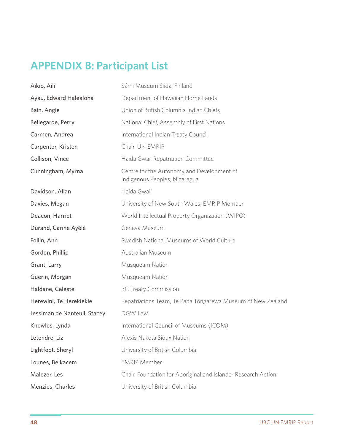# **APPENDIX B: Participant List**

| Aikio, Aili                  | Sámi Museum Siida, Finland                                                  |
|------------------------------|-----------------------------------------------------------------------------|
| Ayau, Edward Halealoha       | Department of Hawaiian Home Lands                                           |
| Bain, Angie                  | Union of British Columbia Indian Chiefs                                     |
| Bellegarde, Perry            | National Chief, Assembly of First Nations                                   |
| Carmen, Andrea               | International Indian Treaty Council                                         |
| Carpenter, Kristen           | Chair, UN EMRIP                                                             |
| Collison, Vince              | Haida Gwaii Repatriation Committee                                          |
| Cunningham, Myrna            | Centre for the Autonomy and Development of<br>Indigenous Peoples, Nicaragua |
| Davidson, Allan              | Haida Gwaii                                                                 |
| Davies, Megan                | University of New South Wales, EMRIP Member                                 |
| Deacon, Harriet              | World Intellectual Property Organization (WIPO)                             |
| Durand, Carine Ayélé         | Geneva Museum                                                               |
| Follin, Ann                  | Swedish National Museums of World Culture                                   |
| Gordon, Phillip              | Australian Museum                                                           |
| Grant, Larry                 | Musqueam Nation                                                             |
| Guerin, Morgan               | Musqueam Nation                                                             |
| Haldane, Celeste             | <b>BC Treaty Commission</b>                                                 |
| Herewini, Te Herekiekie      | Repatriations Team, Te Papa Tongarewa Museum of New Zealand                 |
| Jessiman de Nanteuil, Stacey | <b>DGW Law</b>                                                              |
| Knowles, Lynda               | International Council of Museums (ICOM)                                     |
| Letendre, Liz                | Alexis Nakota Sioux Nation                                                  |
| Lightfoot, Sheryl            | University of British Columbia                                              |
| Lounes, Belkacem             | <b>EMRIP Member</b>                                                         |
| Malezer, Les                 | Chair, Foundation for Aboriginal and Islander Research Action               |
| Menzies, Charles             | University of British Columbia                                              |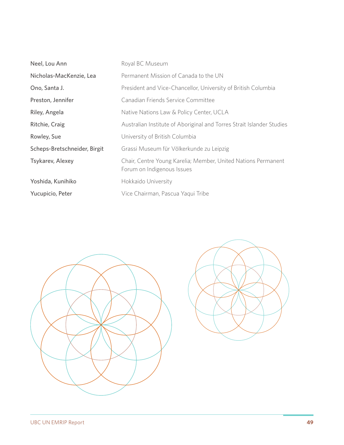| Neel, Lou Ann                | Royal BC Museum                                                                             |
|------------------------------|---------------------------------------------------------------------------------------------|
| Nicholas-MacKenzie, Lea      | Permanent Mission of Canada to the UN                                                       |
| Ono, Santa J.                | President and Vice-Chancellor, University of British Columbia                               |
| Preston, Jennifer            | Canadian Friends Service Committee                                                          |
| Riley, Angela                | Native Nations Law & Policy Center, UCLA                                                    |
| Ritchie, Craig               | Australian Institute of Aboriginal and Torres Strait Islander Studies                       |
| Rowley, Sue                  | University of British Columbia                                                              |
| Scheps-Bretschneider, Birgit | Grassi Museum für Völkerkunde zu Leipzig                                                    |
| Tsykarev, Alexey             | Chair, Centre Young Karelia; Member, United Nations Permanent<br>Forum on Indigenous Issues |
| Yoshida, Kunihiko            | Hokkaido University                                                                         |
| Yucupicio, Peter             | Vice Chairman, Pascua Yaqui Tribe                                                           |

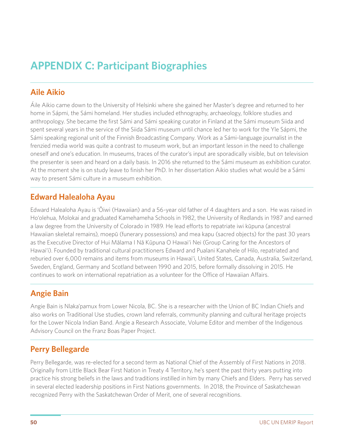# **APPENDIX C: Participant Biographies**

# **Aile Aikio**

Áile Aikio came down to the University of Helsinki where she gained her Master's degree and returned to her home in Sápmi, the Sámi homeland. Her studies included ethnography, archaeology, folklore studies and anthropology. She became the first Sámi and Sámi speaking curator in Finland at the Sámi museum Siida and spent several years in the service of the Siida Sámi museum until chance led her to work for the Yle Sápmi, the Sámi speaking regional unit of the Finnish Broadcasting Company. Work as a Sámi-language journalist in the frenzied media world was quite a contrast to museum work, but an important lesson in the need to challenge oneself and one's education. In museums, traces of the curator's input are sporadically visible, but on television the presenter is seen and heard on a daily basis. In 2016 she returned to the Sámi museum as exhibition curator. At the moment she is on study leave to finish her PhD. In her dissertation Aikio studies what would be a Sámi way to present Sámi culture in a museum exhibition.

# **Edward Halealoha Ayau**

Edward Halealoha Ayau is 'Ōiwi (Hawaiian) and a 56-year old father of 4 daughters and a son. He was raised in Ho'olehua, Molokai and graduated Kamehameha Schools in 1982, the University of Redlands in 1987 and earned a law degree from the University of Colorado in 1989. He lead efforts to repatriate iwi kūpuna (ancestral Hawaiian skeletal remains), moepū (funerary possessions) and mea kapu (sacred objects) for the past 30 years as the Executive Director of Hui Mālama I Nā Kūpuna O Hawai'i Nei (Group Caring for the Ancestors of Hawai'i). Founded by traditional cultural practitioners Edward and Pualani Kanahele of Hilo, repatriated and reburied over 6,000 remains and items from museums in Hawai'i, United States, Canada, Australia, Switzerland, Sweden, England, Germany and Scotland between 1990 and 2015, before formally dissolving in 2015. He continues to work on international repatriation as a volunteer for the Office of Hawaiian Affairs.

# **Angie Bain**

Angie Bain is Nlaka'pamux from Lower Nicola, BC. She is a researcher with the Union of BC Indian Chiefs and also works on Traditional Use studies, crown land referrals, community planning and cultural heritage projects for the Lower Nicola Indian Band. Angie a Research Associate, Volume Editor and member of the Indigenous Advisory Council on the Franz Boas Paper Project.

# **Perry Bellegarde**

Perry Bellegarde, was re-elected for a second term as National Chief of the Assembly of First Nations in 2018. Originally from Little Black Bear First Nation in Treaty 4 Territory, he's spent the past thirty years putting into practice his strong beliefs in the laws and traditions instilled in him by many Chiefs and Elders. Perry has served in several elected leadership positions in First Nations governments. In 2018, the Province of Saskatchewan recognized Perry with the Saskatchewan Order of Merit, one of several recognitions.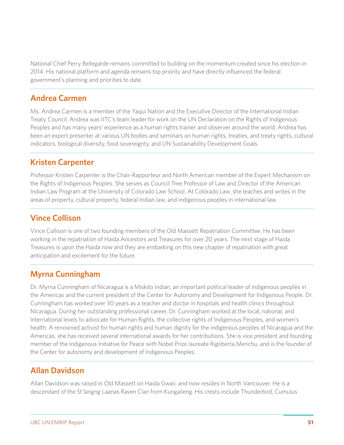National Chief Perry Bellegarde remains committed to building on the momentum created since his election in 2014. His national platform and agenda remains top priority and have directly influenced the federal government's planning and priorities to date.

## **Andrea Carmen**

Ms. Andrea Carmen is a member of the Yaqui Nation and the Executive Director of the International Indian Treaty Council. Andrea was IITC's team leader for work on the UN Declaration on the Rights of Indigenous Peoples and has many years' experience as a human rights trainer and observer around the world. Andrea has been an expert presenter at various UN bodies and seminars on human rights, treaties, and treaty rights, cultural indicators, biological diversity, food sovereignty, and UN Sustainability Development Goals.

# **Kristen Carpenter**

Professor Kristen Carpenter is the Chair-Rapporteur and North American member of the Expert Mechanism on the Rights of Indigenous Peoples. She serves as Council Tree Professor of Law and Director of the American Indian Law Program at the University of Colorado Law School. At Colorado Law, she teaches and writes in the areas of property, cultural property, federal Indian law, and indigenous peoples in international law.

## **Vince Collison**

Vince Collison is one of two founding members of the Old Massett Repatriation Committee. He has been working in the repatriation of Haida Ancestors and Treasures for over 20 years. The next stage of Haida Treasures is upon the Haida now and they are embarking on this new chapter of repatriation with great anticipation and excitement for the future.

# **Myrna Cunningham**

Dr. Myrna Cunningham of Nicaragua is a Miskito Indian, an important political leader of indigenous peoples in the Americas and the current president of the Center for Autonomy and Development for Indigenous People. Dr. Cunningham has worked over 30 years as a teacher and doctor in hospitals and health clinics throughout Nicaragua. During her outstanding professional career, Dr. Cunningham worked at the local, national, and International levels to advocate for Human Rights, the collective rights of Indigenous Peoples, and women's health. A renowned activist for human rights and human dignity for the indigenous peoples of Nicaragua and the Americas, she has received several international awards for her contributions. She is vice president and founding member of the Indigenous Initiative for Peace with Nobel Prize laureate Rigoberta Menchu, and is the founder of the Center for autonomy and development of Indigenous Peoples.

# **Allan Davidson**

Allan Davidson was raised in Old Massett on Haida Gwaii, and now resides in North Vancouver. He is a descendant of the St'langng Laanas Raven Clan from Kungaileng. His crests include Thunderbird, Cumulus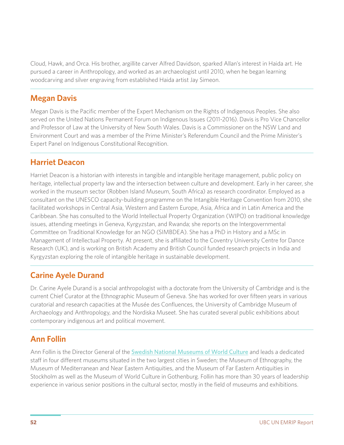Cloud, Hawk, and Orca. His brother, argillite carver Alfred Davidson, sparked Allan's interest in Haida art. He pursued a career in Anthropology, and worked as an archaeologist until 2010, when he began learning woodcarving and silver engraving from established Haida artist Jay Simeon.

## **Megan Davis**

Megan Davis is the Pacific member of the Expert Mechanism on the Rights of Indigenous Peoples. She also served on the United Nations Permanent Forum on Indigenous Issues (2011-2016). Davis is Pro Vice Chancellor and Professor of Law at the University of New South Wales. Davis is a Commissioner on the NSW Land and Environment Court and was a member of the Prime Minister's Referendum Council and the Prime Minister's Expert Panel on Indigenous Constitutional Recognition.

## **Harriet Deacon**

Harriet Deacon is a historian with interests in tangible and intangible heritage management, public policy on heritage, intellectual property law and the intersection between culture and development. Early in her career, she worked in the museum sector (Robben Island Museum, South Africa) as research coordinator. Employed as a consultant on the UNESCO capacity-building programme on the Intangible Heritage Convention from 2010, she facilitated workshops in Central Asia, Western and Eastern Europe, Asia, Africa and in Latin America and the Caribbean. She has consulted to the World Intellectual Property Organization (WIPO) on traditional knowledge issues, attending meetings in Geneva, Kyrgyzstan, and Rwanda; she reports on the Intergovernmental Committee on Traditional Knowledge for an NGO (SIMBDEA). She has a PhD in History and a MSc in Management of Intellectual Property. At present, she is affiliated to the Coventry University Centre for Dance Research (UK), and is working on British Academy and British Council funded research projects in India and Kyrgyzstan exploring the role of intangible heritage in sustainable development.

# **Carine Ayele Durand**

Dr. Carine Ayele Durand is a social anthropologist with a doctorate from the University of Cambridge and is the current Chief Curator at the Ethnographic Museum of Geneva. She has worked for over fifteen years in various curatorial and research capacities at the Musée des Confluences, the University of Cambridge Museum of Archaeology and Anthropology, and the Nordiska Museet. She has curated several public exhibitions about contemporary indigenous art and political movement.

# **Ann Follin**

Ann Follin is the Director General of the **Swedish National Museums of World Culture** and leads a dedicated staff in four different museums situated in the two largest cities in Sweden; the Museum of Ethnography, the Museum of Mediterranean and Near Eastern Antiquities, and the Museum of Far Eastern Antiquities in Stockholm as well as the Museum of World Culture in Gothenburg. Follin has more than 30 years of leadership experience in various senior positions in the cultural sector, mostly in the field of museums and exhibitions.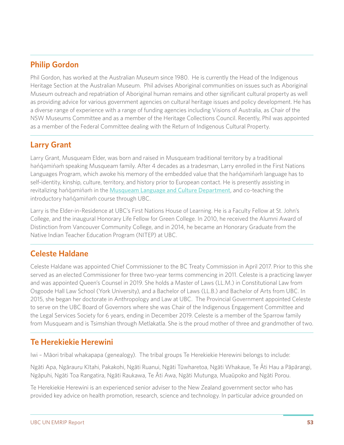# **Philip Gordon**

Phil Gordon, has worked at the Australian Museum since 1980. He is currently the Head of the Indigenous Heritage Section at the Australian Museum. Phil advises Aboriginal communities on issues such as Aboriginal Museum outreach and repatriation of Aboriginal human remains and other significant cultural property as well as providing advice for various government agencies on cultural heritage issues and policy development. He has a diverse range of experience with a range of funding agencies including Visions of Australia, as Chair of the NSW Museums Committee and as a member of the Heritage Collections Council. Recently, Phil was appointed as a member of the Federal Committee dealing with the Return of Indigenous Cultural Property.

# **Larry Grant**

Larry Grant, Musqueam Elder, was born and raised in Musqueam traditional territory by a traditional hənı dəmin əm speaking Musqueam family. After 4 decades as a tradesman, Larry enrolled in the First Nations Languages Program, which awoke his memory of the embedded value that the handed in language has to self-identity, kinship, culture, territory, and history prior to European contact. He is presently assisting in revitalizing hən *q*əminəm in the Musqueam Language and Culture Department, and co-teaching the introductory həndəminəm course through UBC.

Larry is the Elder-in-Residence at UBC's First Nations House of Learning. He is a Faculty Fellow at St. John's College, and the inaugural Honorary Life Fellow for Green College. In 2010, he received the Alumni Award of Distinction from Vancouver Community College, and in 2014, he became an Honorary Graduate from the Native Indian Teacher Education Program (NITEP) at UBC.

# **Celeste Haldane**

Celeste Haldane was appointed Chief Commissioner to the BC Treaty Commission in April 2017. Prior to this she served as an elected Commissioner for three two-year terms commencing in 2011. Celeste is a practicing lawyer and was appointed Queen's Counsel in 2019. She holds a Master of Laws (LL.M.) in Constitutional Law from Osgoode Hall Law School (York University), and a Bachelor of Laws (LL.B.) and Bachelor of Arts from UBC. In 2015, she began her doctorate in Anthropology and Law at UBC. The Provincial Government appointed Celeste to serve on the UBC Board of Governors where she was Chair of the Indigenous Engagement Committee and the Legal Services Society for 6 years, ending in December 2019. Celeste is a member of the Sparrow family from Musqueam and is Tsimshian through Metlakatla. She is the proud mother of three and grandmother of two.

# **Te Herekiekie Herewini**

Iwi – Māori tribal whakapapa (genealogy). The tribal groups Te Herekiekie Herewini belongs to include:

Ngāti Apa, Ngārauru Kītahi, Pakakohi, Ngāti Ruanui, Ngāti Tūwharetoa, Ngāti Whakaue, Te Āti Hau a Pāpārangi, Ngāpuhi, Ngāti Toa Rangatira, Ngāti Raukawa, Te Āti Awa, Ngāti Mutunga, Muaūpoko and Ngāti Porou.

Te Herekiekie Herewini is an experienced senior adviser to the New Zealand government sector who has provided key advice on health promotion, research, science and technology. In particular advice grounded on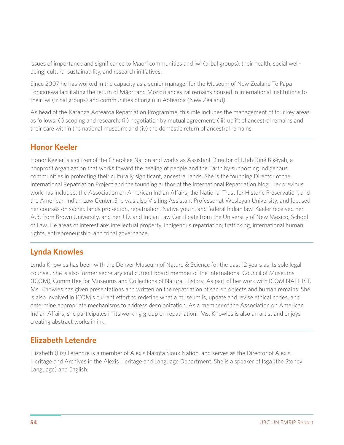issues of importance and significance to Māori communities and iwi (tribal groups), their health, social wellbeing, cultural sustainability, and research initiatives.

Since 2007 he has worked in the capacity as a senior manager for the Museum of New Zealand Te Papa Tongarewa facilitating the return of Māori and Moriori ancestral remains housed in international institutions to their iwi (tribal groups) and communities of origin in Aotearoa (New Zealand).

As head of the Karanga Aotearoa Repatriation Programme, this role includes the management of four key areas as follows: (i) scoping and research; (ii) negotiation by mutual agreement; (iii) uplift of ancestral remains and their care within the national museum; and (iv) the domestic return of ancestral remains.

## **Honor Keeler**

Honor Keeler is a citizen of the Cherokee Nation and works as Assistant Director of Utah Diné Bikéyah, a nonprofit organization that works toward the healing of people and the Earth by supporting indigenous communities in protecting their culturally significant, ancestral lands. She is the founding Director of the International Repatriation Project and the founding author of the International Repatriation blog. Her previous work has included: the Association on American Indian Affairs, the National Trust for Historic Preservation, and the American Indian Law Center. She was also Visiting Assistant Professor at Wesleyan University, and focused her courses on sacred lands protection, repatriation, Native youth, and federal Indian law. Keeler received her A.B. from Brown University, and her J.D. and Indian Law Certificate from the University of New Mexico, School of Law. He areas of interest are: intellectual property, indigenous repatriation, trafficking, international human rights, entrepreneurship, and tribal governance.

# **Lynda Knowles**

Lynda Knowles has been with the Denver Museum of Nature & Science for the past 12 years as its sole legal counsel. She is also former secretary and current board member of the International Council of Museums (ICOM), Committee for Museums and Collections of Natural History. As part of her work with ICOM NATHIST, Ms. Knowles has given presentations and written on the repatriation of sacred objects and human remains. She is also involved in ICOM's current effort to redefine what a museum is, update and revise ethical codes, and determine appropriate mechanisms to address decolonization. As a member of the Association on American Indian Affairs, she participates in its working group on repatriation. Ms. Knowles is also an artist and enjoys creating abstract works in ink.

# **Elizabeth Letendre**

Elizabeth (Liz) Letendre is a member of Alexis Nakota Sioux Nation, and serves as the Director of Alexis Heritage and Archives in the Alexis Heritage and Language Department. She is a speaker of Isga (the Stoney Language) and English.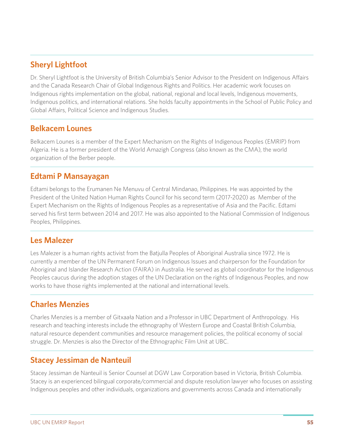# **Sheryl Lightfoot**

Dr. Sheryl Lightfoot is the University of British Columbia's Senior Advisor to the President on Indigenous Affairs and the Canada Research Chair of Global Indigenous Rights and Politics. Her academic work focuses on Indigenous rights implementation on the global, national, regional and local levels, Indigenous movements, Indigenous politics, and international relations. She holds faculty appointments in the School of Public Policy and Global Affairs, Political Science and Indigenous Studies.

## **Belkacem Lounes**

Belkacem Lounes is a member of the Expert Mechanism on the Rights of Indigenous Peoples (EMRIP) from Algeria. He is a former president of the World Amazigh Congress (also known as the CMA), the world organization of the Berber people.

## **Edtami P Mansayagan**

Edtami belongs to the Erumanen Ne Menuvu of Central Mindanao, Philippines. He was appointed by the President of the United Nation Human Rights Council for his second term (2017-2020) as Member of the Expert Mechanism on the Rights of Indigenous Peoples as a representative of Asia and the Pacific. Edtami served his first term between 2014 and 2017. He was also appointed to the National Commission of Indigenous Peoples, Philippines.

# **Les Malezer**

Les Malezer is a human rights activist from the Batjulla Peoples of Aboriginal Australia since 1972. He is currently a member of the UN Permanent Forum on Indigenous Issues and chairperson for the Foundation for Aboriginal and Islander Research Action (FAIRA) in Australia. He served as global coordinator for the Indigenous Peoples caucus during the adoption stages of the UN Declaration on the rights of Indigenous Peoples, and now works to have those rights implemented at the national and international levels.

# **Charles Menzies**

Charles Menzies is a member of Gitxaała Nation and a Professor in UBC Department of Anthropology. His research and teaching interests include the ethnography of Western Europe and Coastal British Columbia, natural resource dependent communities and resource management policies, the political economy of social struggle. Dr. Menzies is also the Director of the Ethnographic Film Unit at UBC.

# **Stacey Jessiman de Nanteuil**

Stacey Jessiman de Nanteuil is Senior Counsel at DGW Law Corporation based in Victoria, British Columbia. Stacey is an experienced bilingual corporate/commercial and dispute resolution lawyer who focuses on assisting Indigenous peoples and other individuals, organizations and governments across Canada and internationally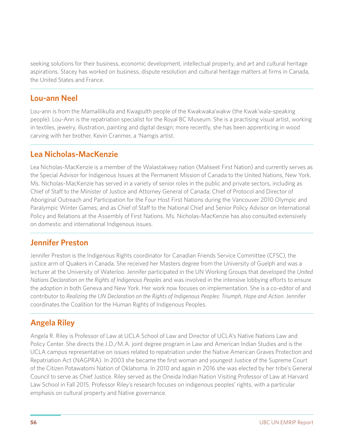seeking solutions for their business, economic development, intellectual property, and art and cultural heritage aspirations. Stacey has worked on business, dispute resolution and cultural heritage matters at firms in Canada, the United States and France.

## **Lou-ann Neel**

Lou-ann is from the Mamalilikulla and Kwagiulth people of the Kwakwaka'wakw (the Kwak'wala-speaking people). Lou-Ann is the repatriation specialist for the Royal BC Museum. She is a practising visual artist, working in textiles, jewelry, illustration, painting and digital design; more recently, she has been apprenticing in wood carving with her brother, Kevin Cranmer, a 'Namgis artist.

## **Lea Nicholas-MacKenzie**

Lea Nicholas-MacKenzie is a member of the Wəlastəkwey nation (Maliseet First Nation) and currently serves as the Special Advisor for Indigenous Issues at the Permanent Mission of Canada to the United Nations, New York. Ms. Nicholas-MacKenzie has served in a variety of senior roles in the public and private sectors, including as Chief of Staff to the Minister of Justice and Attorney General of Canada; Chief of Protocol and Director of Aboriginal Outreach and Participation for the Four Host First Nations during the Vancouver 2010 Olympic and Paralympic Winter Games; and as Chief of Staff to the National Chief and Senior Policy Advisor on International Policy and Relations at the Assembly of First Nations. Ms. Nicholas-MacKenzie has also consulted extensively on domestic and international Indigenous issues.

# **Jennifer Preston**

Jennifer Preston is the Indigenous Rights coordinator for Canadian Friends Service Committee (CFSC), the justice arm of Quakers in Canada. She received her Masters degree from the University of Guelph and was a lecturer at the University of Waterloo. Jennifer participated in the UN Working Groups that developed the *United Nations Declaration on the Rights of Indigenous Peoples* and was involved in the intensive lobbying efforts to ensure the adoption in both Geneva and New York. Her work now focuses on implementation. She is a co-editor of and contributor to *Realizing the UN Declaration on the Rights of Indigenous Peoples: Triumph, Hope and Action*. Jennifer coordinates the Coalition for the Human Rights of Indigenous Peoples.

# **Angela Riley**

Angela R. Riley is Professor of Law at UCLA School of Law and Director of UCLA's Native Nations Law and Policy Center. She directs the J.D./M.A. joint degree program in Law and American Indian Studies and is the UCLA campus representative on issues related to repatriation under the Native American Graves Protection and Repatriation Act (NAGPRA). In 2003 she became the first woman and youngest Justice of the Supreme Court of the Citizen Potawatomi Nation of Oklahoma. In 2010 and again in 2016 she was elected by her tribe's General Council to serve as Chief Justice. Riley served as the Oneida Indian Nation Visiting Professor of Law at Harvard Law School in Fall 2015. Professor Riley's research focuses on indigenous peoples' rights, with a particular emphasis on cultural property and Native governance.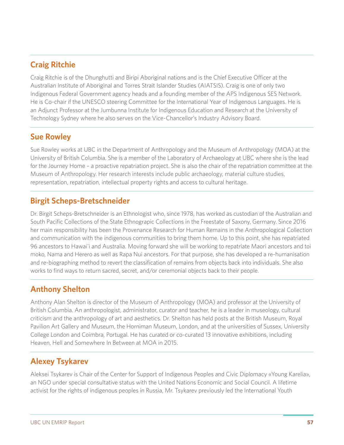# **Craig Ritchie**

Craig Ritchie is of the Dhunghutti and Biripi Aboriginal nations and is the Chief Executive Officer at the Australian Institute of Aboriginal and Torres Strait Islander Studies (AIATSIS). Craig is one of only two Indigenous Federal Government agency heads and a founding member of the APS Indigenous SES Network. He is Co-chair if the UNESCO steering Committee for the International Year of Indigenous Languages. He is an Adjunct Professor at the Jumbunna Institute for Indigenous Education and Research at the University of Technology Sydney where he also serves on the Vice-Chancellor's Industry Advisory Board.

# **Sue Rowley**

Sue Rowley works at UBC in the Department of Anthropology and the Museum of Anthropology (MOA) at the University of British Columbia. She is a member of the Laboratory of Archaeology at UBC where she is the lead for the Journey Home – a proactive repatriation project. She is also the chair of the repatriation committee at the Museum of Anthropology. Her research interests include public archaeology, material culture studies, representation, repatriation, intellectual property rights and access to cultural heritage.

## **Birgit Scheps-Bretschneider**

Dr. Birgit Scheps-Bretschneider is an Ethnologist who, since 1978, has worked as custodian of the Australian and South Pacific Collections of the State Ethnograpic Collections in the Freestate of Saxony, Germany. Since 2016 her main responsibility has been the Provenance Research for Human Remains in the Anthropological Collection and communication with the indigenous communities to bring them home. Up to this point, she has repatriated 96 ancestors to Hawai'i and Australia. Moving forward she will be working to repatriate Maori ancestors and toi moko, Nama and Herero as well as Rapa Nui ancestors. For that purpose, she has developed a re-humanisation and re-biographing method to revert the classification of remains from objects back into individuals. She also works to find ways to return sacred, secret, and/or ceremonial objects back to their people.

# **Anthony Shelton**

Anthony Alan Shelton is director of the Museum of Anthropology (MOA) and professor at the University of British Columbia. An anthropologist, administrator, curator and teacher, he is a leader in museology, cultural criticism and the anthropology of art and aesthetics. Dr. Shelton has held posts at the British Museum, Royal Pavilion Art Gallery and Museum, the Horniman Museum, London, and at the universities of Sussex, University College London and Coimbra, Portugal. He has curated or co-curated 13 innovative exhibitions, including Heaven, Hell and Somewhere In Between at MOA in 2015.

# **Alexey Tsykarev**

Aleksei Tsykarev is Chair of the Center for Support of Indigenous Peoples and Civic Diplomacy «Young Karelia», an NGO under special consultative status with the United Nations Economic and Social Council. A lifetime activist for the rights of indigenous peoples in Russia, Mr. Tsykarev previously led the International Youth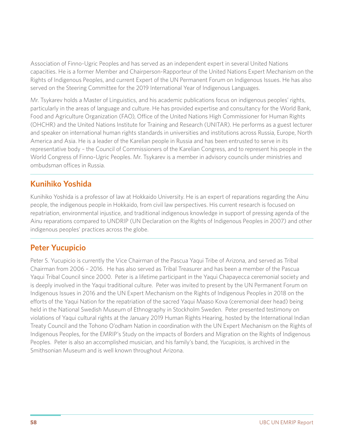Association of Finno-Ugric Peoples and has served as an independent expert in several United Nations capacities. He is a former Member and Chairperson-Rapporteur of the United Nations Expert Mechanism on the Rights of Indigenous Peoples, and current Expert of the UN Permanent Forum on Indigenous Issues. He has also served on the Steering Committee for the 2019 International Year of Indigenous Languages.

Mr. Tsykarev holds a Master of Linguistics, and his academic publications focus on indigenous peoples' rights, particularly in the areas of language and culture. He has provided expertise and consultancy for the World Bank, Food and Agriculture Organization (FAO), Office of the United Nations High Commissioner for Human Rights (OHCHR) and the United Nations Institute for Training and Research (UNITAR). He performs as a guest lecturer and speaker on international human rights standards in universities and institutions across Russia, Europe, North America and Asia. He is a leader of the Karelian people in Russia and has been entrusted to serve in its representative body – the Council of Commissioners of the Karelian Congress, and to represent his people in the World Congress of Finno-Ugric Peoples. Mr. Tsykarev is a member in advisory councils under ministries and ombudsman offices in Russia.

# **Kunihiko Yoshida**

Kunihiko Yoshida is a professor of law at Hokkaido University. He is an expert of reparations regarding the Ainu people, the indigenous people in Hokkaido, from civil law perspectives. His current research is focused on repatriation, environmental injustice, and traditional indigenous knowledge in support of pressing agenda of the Ainu reparations compared to UNDRIP (UN Declaration on the Rights of Indigenous Peoples in 2007) and other indigenous peoples' practices across the globe.

# **Peter Yucupicio**

Peter S. Yucupicio is currently the Vice Chairman of the Pascua Yaqui Tribe of Arizona, and served as Tribal Chairman from 2006 – 2016. He has also served as Tribal Treasurer and has been a member of the Pascua Yaqui Tribal Council since 2000. Peter is a lifetime participant in the Yaqui Chapayecca ceremonial society and is deeply involved in the Yaqui traditional culture. Peter was invited to present by the UN Permanent Forum on Indigenous Issues in 2016 and the UN Expert Mechanism on the Rights of Indigenous Peoples in 2018 on the efforts of the Yaqui Nation for the repatriation of the sacred Yaqui Maaso Kova (ceremonial deer head) being held in the National Swedish Museum of Ethnography in Stockholm Sweden. Peter presented testimony on violations of Yaqui cultural rights at the January 2019 Human Rights Hearing, hosted by the International Indian Treaty Council and the Tohono O'odham Nation in coordination with the UN Expert Mechanism on the Rights of Indigenous Peoples, for the EMRIP's Study on the impacts of Borders and Migration on the Rights of Indigenous Peoples. Peter is also an accomplished musician, and his family's band, the *Yucupicios*, is archived in the Smithsonian Museum and is well known throughout Arizona.